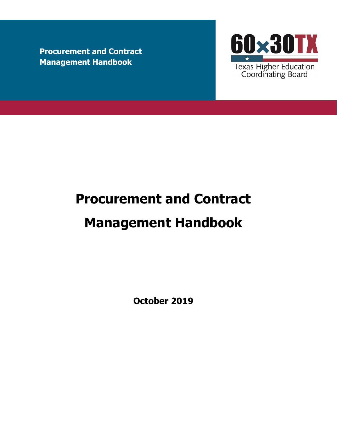**Procurement and Contract Management Handbook**



# **Procurement and Contract**

# **Management Handbook**

**October 2019**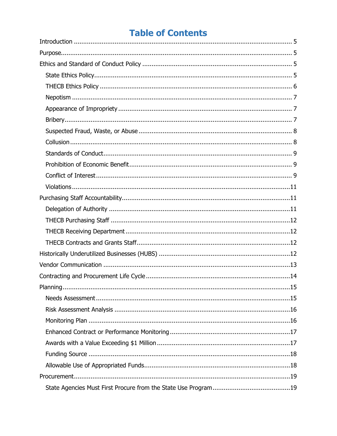# **Table of Contents**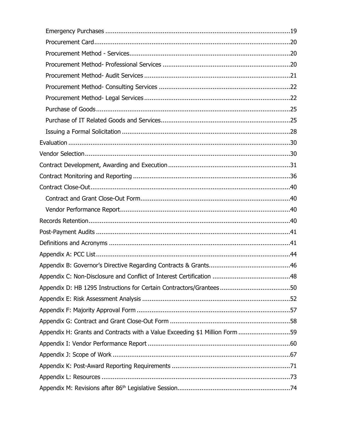| Appendix H: Grants and Contracts with a Value Exceeding \$1 Million Form 59 |  |
|-----------------------------------------------------------------------------|--|
|                                                                             |  |
|                                                                             |  |
|                                                                             |  |
|                                                                             |  |
|                                                                             |  |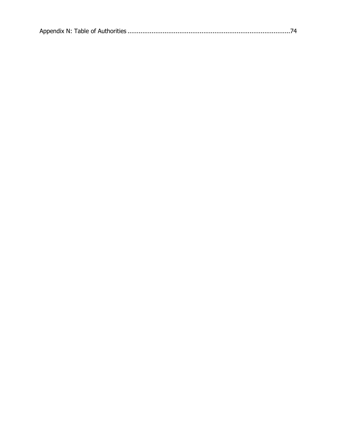|--|--|--|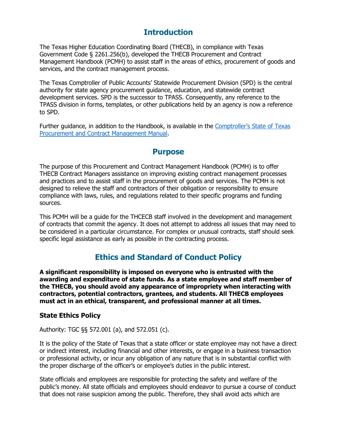# **Introduction**

<span id="page-4-0"></span>The Texas Higher Education Coordinating Board (THECB), in compliance with Texas Government Code § 2261.256(b), developed the THECB Procurement and Contract Management Handbook (PCMH) to assist staff in the areas of ethics, procurement of goods and services, and the contract management process.

The Texas Comptroller of Public Accounts' Statewide Procurement Division (SPD) is the central authority for state agency procurement guidance, education, and statewide contract development services. SPD is the successor to TPASS. Consequently, any reference to the TPASS division in forms, templates, or other publications held by an agency is now a reference to SPD.

<span id="page-4-1"></span>Further guidance, in addition to the Handbook, is available in the [Comptroller's State of Texas](https://comptroller.texas.gov/purchasing/docs/96-1809.pdf)  [Procurement and Contract Management Manual.](https://comptroller.texas.gov/purchasing/docs/96-1809.pdf)

## **Purpose**

The purpose of this Procurement and Contract Management Handbook (PCMH) is to offer THECB Contract Managers assistance on improving existing contract management processes and practices and to assist staff in the procurement of goods and services. The PCMH is not designed to relieve the staff and contractors of their obligation or responsibility to ensure compliance with laws, rules, and regulations related to their specific programs and funding sources.

This PCMH will be a guide for the THCECB staff involved in the development and management of contracts that commit the agency. It does not attempt to address all issues that may need to be considered in a particular circumstance. For complex or unusual contracts, staff should seek specific legal assistance as early as possible in the contracting process.

# **Ethics and Standard of Conduct Policy**

<span id="page-4-2"></span>**A significant responsibility is imposed on everyone who is entrusted with the awarding and expenditure of state funds. As a state employee and staff member of the THECB, you should avoid any appearance of impropriety when interacting with contractors, potential contractors, grantees, and students. All THECB employees must act in an ethical, transparent, and professional manner at all times.**

## <span id="page-4-3"></span>**State Ethics Policy**

Authority: TGC §§ 572.001 (a), and 572.051 (c).

It is the policy of the State of Texas that a state officer or state employee may not have a direct or indirect interest, including financial and other interests, or engage in a business transaction or professional activity, or incur any obligation of any nature that is in substantial conflict with the proper discharge of the officer's or employee's duties in the public interest.

State officials and employees are responsible for protecting the safety and welfare of the public's money. All state officials and employees should endeavor to pursue a course of conduct that does not raise suspicion among the public. Therefore, they shall avoid acts which are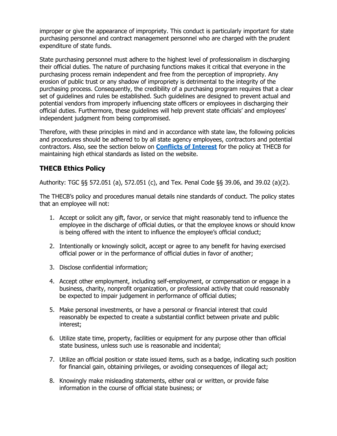improper or give the appearance of impropriety. This conduct is particularly important for state purchasing personnel and contract management personnel who are charged with the prudent expenditure of state funds.

State purchasing personnel must adhere to the highest level of professionalism in discharging their official duties. The nature of purchasing functions makes it critical that everyone in the purchasing process remain independent and free from the perception of impropriety. Any erosion of public trust or any shadow of impropriety is detrimental to the integrity of the purchasing process. Consequently, the credibility of a purchasing program requires that a clear set of guidelines and rules be established. Such guidelines are designed to prevent actual and potential vendors from improperly influencing state officers or employees in discharging their official duties. Furthermore, these guidelines will help prevent state officials' and employees' independent judgment from being compromised.

Therefore, with these principles in mind and in accordance with state law, the following policies and procedures should be adhered to by all state agency employees, contractors and potential contractors. Also, see the section below on **[Conflicts of Interest](#page-8-2)** for the policy at THECB for maintaining high ethical standards as listed on the website.

## <span id="page-5-0"></span>**THECB Ethics Policy**

Authority: TGC §§ 572.051 (a), 572.051 (c), and Tex. Penal Code §§ 39.06, and 39.02 (a)(2).

The THECB's policy and procedures manual details nine standards of conduct. The policy states that an employee will not:

- 1. Accept or solicit any gift, favor, or service that might reasonably tend to influence the employee in the discharge of official duties, or that the employee knows or should know is being offered with the intent to influence the employee's official conduct;
- 2. Intentionally or knowingly solicit, accept or agree to any benefit for having exercised official power or in the performance of official duties in favor of another;
- 3. Disclose confidential information;
- 4. Accept other employment, including self-employment, or compensation or engage in a business, charity, nonprofit organization, or professional activity that could reasonably be expected to impair judgement in performance of official duties;
- 5. Make personal investments, or have a personal or financial interest that could reasonably be expected to create a substantial conflict between private and public interest;
- 6. Utilize state time, property, facilities or equipment for any purpose other than official state business, unless such use is reasonable and incidental;
- 7. Utilize an official position or state issued items, such as a badge, indicating such position for financial gain, obtaining privileges, or avoiding consequences of illegal act;
- 8. Knowingly make misleading statements, either oral or written, or provide false information in the course of official state business; or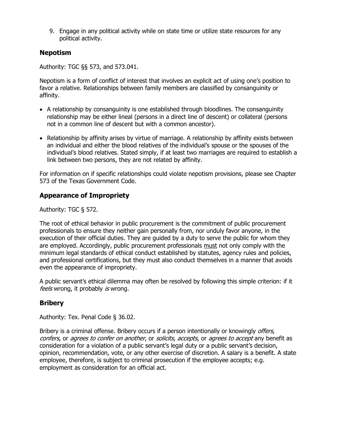9. Engage in any political activity while on state time or utilize state resources for any political activity.

## <span id="page-6-0"></span>**Nepotism**

Authority: TGC §§ 573, and 573.041.

Nepotism is a form of conflict of interest that involves an explicit act of using one's position to favor a relative. Relationships between family members are classified by consanguinity or affinity.

- A relationship by consanguinity is one established through bloodlines. The consanguinity relationship may be either lineal (persons in a direct line of descent) or collateral (persons not in a common line of descent but with a common ancestor).
- Relationship by affinity arises by virtue of marriage. A relationship by affinity exists between an individual and either the blood relatives of the individual's spouse or the spouses of the individual's blood relatives. Stated simply, if at least two marriages are required to establish a link between two persons, they are not related by affinity.

For information on if specific relationships could violate nepotism provisions, please see Chapter 573 of the Texas Government Code.

## <span id="page-6-1"></span>**Appearance of Impropriety**

Authority: TGC § 572.

The root of ethical behavior in public procurement is the commitment of public procurement professionals to ensure they neither gain personally from, nor unduly favor anyone, in the execution of their official duties. They are guided by a duty to serve the public for whom they are employed. Accordingly, public procurement professionals must not only comply with the minimum legal standards of ethical conduct established by statutes, agency rules and policies, and professional certifications, but they must also conduct themselves in a manner that avoids even the appearance of impropriety.

A public servant's ethical dilemma may often be resolved by following this simple criterion: if it feels wrong, it probably is wrong.

## <span id="page-6-2"></span>**Bribery**

Authority: Tex. Penal Code § 36.02.

Bribery is a criminal offense. Bribery occurs if a person intentionally or knowingly *offers*, confers, or agrees to confer on another, or solicits, accepts, or agrees to accept any benefit as consideration for a violation of a public servant's legal duty or a public servant's decision, opinion, recommendation, vote, or any other exercise of discretion. A salary is a benefit. A state employee, therefore, is subject to criminal prosecution if the employee accepts; e.g. employment as consideration for an official act.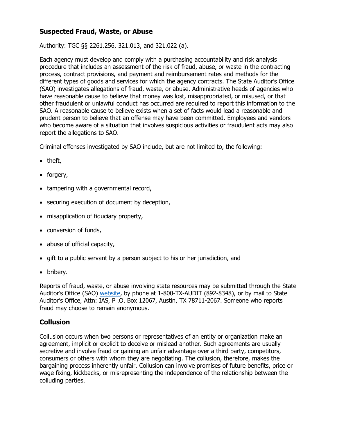## <span id="page-7-0"></span>**Suspected Fraud, Waste, or Abuse**

Authority: TGC §§ 2261.256, 321.013, and 321.022 (a).

Each agency must develop and comply with a purchasing accountability and risk analysis procedure that includes an assessment of the risk of fraud, abuse, or waste in the contracting process, contract provisions, and payment and reimbursement rates and methods for the different types of goods and services for which the agency contracts. The State Auditor's Office (SAO) investigates allegations of fraud, waste, or abuse. Administrative heads of agencies who have reasonable cause to believe that money was lost, misappropriated, or misused, or that other fraudulent or unlawful conduct has occurred are required to report this information to the SAO. A reasonable cause to believe exists when a set of facts would lead a reasonable and prudent person to believe that an offense may have been committed. Employees and vendors who become aware of a situation that involves suspicious activities or fraudulent acts may also report the allegations to SAO.

Criminal offenses investigated by SAO include, but are not limited to, the following:

- theft,
- forgery,
- tampering with a governmental record,
- securing execution of document by deception,
- misapplication of fiduciary property,
- conversion of funds,
- abuse of official capacity,
- gift to a public servant by a person subject to his or her jurisdiction, and
- bribery.

Reports of fraud, waste, or abuse involving state resources may be submitted through the State Auditor's Office (SAO) [website,](https://sao.fraud.texas.gov/) by phone at 1-800-TX-AUDIT (892-8348), or by mail to State Auditor's Office, Attn: IAS, P .O. Box 12067, Austin, TX 78711-2067. Someone who reports fraud may choose to remain anonymous.

#### <span id="page-7-1"></span>**Collusion**

Collusion occurs when two persons or representatives of an entity or organization make an agreement, implicit or explicit to deceive or mislead another. Such agreements are usually secretive and involve fraud or gaining an unfair advantage over a third party, competitors, consumers or others with whom they are negotiating. The collusion, therefore, makes the bargaining process inherently unfair. Collusion can involve promises of future benefits, price or wage fixing, kickbacks, or misrepresenting the independence of the relationship between the colluding parties.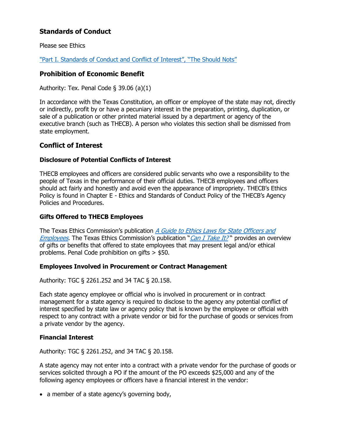## <span id="page-8-0"></span>**Standards of Conduct**

Please see Ethics

["Part I. Standards of Conduct and Conflict of Interest", "The Should Nots"](https://www.ethics.state.tx.us/guides/Go-e.htm)

#### <span id="page-8-1"></span>**Prohibition of Economic Benefit**

Authority: Tex. Penal Code  $\S$  39.06 (a)(1)

In accordance with the Texas Constitution, an officer or employee of the state may not, directly or indirectly, profit by or have a pecuniary interest in the preparation, printing, duplication, or sale of a publication or other printed material issued by a department or agency of the executive branch (such as THECB). A person who violates this section shall be dismissed from state employment.

#### <span id="page-8-2"></span>**Conflict of Interest**

#### **Disclosure of Potential Conflicts of Interest**

THECB employees and officers are considered public servants who owe a responsibility to the people of Texas in the performance of their official duties. THECB employees and officers should act fairly and honestly and avoid even the appearance of impropriety. THECB's Ethics Policy is found in Chapter E - Ethics and Standards of Conduct Policy of the THECB's Agency Policies and Procedures.

#### **Gifts Offered to THECB Employees**

The Texas Ethics Commission's publication A Guide to Ethics Laws for State Officers and [Employees](https://www.ethics.state.tx.us/guides/Go-e.htm). The Texas Ethics Commission's publication "[Can I Take It?](http://www.ethics.state.tx.us/pamphlet/B11cit_e.htm)" provides an overview of gifts or benefits that offered to state employees that may present legal and/or ethical problems. Penal Code prohibition on gifts > \$50.

#### **Employees Involved in Procurement or Contract Management**

Authority: TGC § 2261.252 and 34 TAC § 20.158.

Each state agency employee or official who is involved in procurement or in contract management for a state agency is required to disclose to the agency any potential conflict of interest specified by state law or agency policy that is known by the employee or official with respect to any contract with a private vendor or bid for the purchase of goods or services from a private vendor by the agency.

#### **Financial Interest**

Authority: TGC § 2261.252, and 34 TAC § 20.158.

A state agency may not enter into a contract with a private vendor for the purchase of goods or services solicited through a PO if the amount of the PO exceeds \$25,000 and any of the following agency employees or officers have a financial interest in the vendor:

• a member of a state agency's governing body,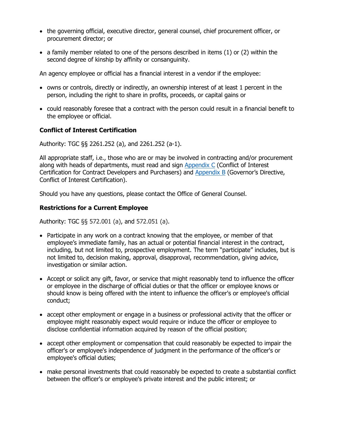- the governing official, executive director, general counsel, chief procurement officer, or procurement director; or
- a family member related to one of the persons described in items (1) or (2) within the second degree of kinship by affinity or consanguinity.

An agency employee or official has a financial interest in a vendor if the employee:

- owns or controls, directly or indirectly, an ownership interest of at least 1 percent in the person, including the right to share in profits, proceeds, or capital gains or
- could reasonably foresee that a contract with the person could result in a financial benefit to the employee or official.

#### **Conflict of Interest Certification**

Authority: TGC §§ 2261.252 (a), and 2261.252 (a-1).

All appropriate staff, i.e., those who are or may be involved in contracting and/or procurement along with heads of departments, must read and sign [Appendix C](#page-46-0) (Conflict of Interest Certification for Contract Developers and Purchasers) and [Appendix B](#page-44-0) (Governor's Directive, Conflict of Interest Certification).

Should you have any questions, please contact the Office of General Counsel.

#### **Restrictions for a Current Employee**

Authority: TGC §§ 572.001 (a), and 572.051 (a).

- Participate in any work on a contract knowing that the employee, or member of that employee's immediate family, has an actual or potential financial interest in the contract, including, but not limited to, prospective employment. The term "participate" includes, but is not limited to, decision making, approval, disapproval, recommendation, giving advice, investigation or similar action.
- Accept or solicit any gift, favor, or service that might reasonably tend to influence the officer or employee in the discharge of official duties or that the officer or employee knows or should know is being offered with the intent to influence the officer's or employee's official conduct;
- accept other employment or engage in a business or professional activity that the officer or employee might reasonably expect would require or induce the officer or employee to disclose confidential information acquired by reason of the official position;
- accept other employment or compensation that could reasonably be expected to impair the officer's or employee's independence of judgment in the performance of the officer's or employee's official duties;
- make personal investments that could reasonably be expected to create a substantial conflict between the officer's or employee's private interest and the public interest; or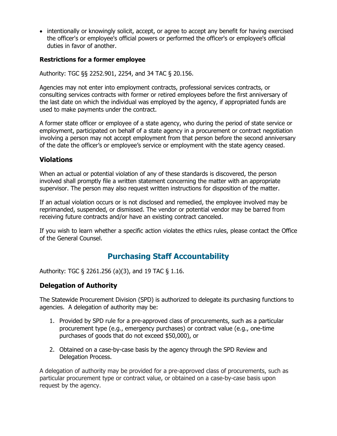• intentionally or knowingly solicit, accept, or agree to accept any benefit for having exercised the officer's or employee's official powers or performed the officer's or employee's official duties in favor of another.

#### **Restrictions for a former employee**

Authority: TGC §§ 2252.901, 2254, and 34 TAC § 20.156.

Agencies may not enter into employment contracts, professional services contracts, or consulting services contracts with former or retired employees before the first anniversary of the last date on which the individual was employed by the agency, if appropriated funds are used to make payments under the contract.

A former state officer or employee of a state agency, who during the period of state service or employment, participated on behalf of a state agency in a procurement or contract negotiation involving a person may not accept employment from that person before the second anniversary of the date the officer's or employee's service or employment with the state agency ceased.

## <span id="page-10-0"></span>**Violations**

When an actual or potential violation of any of these standards is discovered, the person involved shall promptly file a written statement concerning the matter with an appropriate supervisor. The person may also request written instructions for disposition of the matter.

If an actual violation occurs or is not disclosed and remedied, the employee involved may be reprimanded, suspended, or dismissed. The vendor or potential vendor may be barred from receiving future contracts and/or have an existing contract canceled.

If you wish to learn whether a specific action violates the ethics rules, please contact the Office of the General Counsel.

## **Purchasing Staff Accountability**

<span id="page-10-1"></span>Authority: TGC § 2261.256 (a)(3), and 19 TAC § 1.16.

#### <span id="page-10-2"></span>**Delegation of Authority**

The Statewide Procurement Division (SPD) is authorized to delegate its purchasing functions to agencies. A delegation of authority may be:

- 1. Provided by SPD rule for a pre-approved class of procurements, such as a particular procurement type (e.g., emergency purchases) or contract value (e.g., one-time purchases of goods that do not exceed \$50,000), or
- 2. Obtained on a case-by-case basis by the agency through the SPD Review and Delegation Process.

A delegation of authority may be provided for a pre-approved class of procurements, such as particular procurement type or contract value, or obtained on a case-by-case basis upon request by the agency.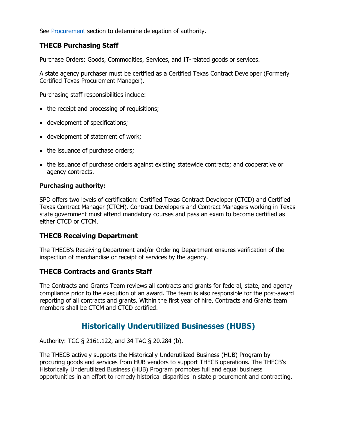See [Procurement](#page-18-0) section to determine delegation of authority.

## <span id="page-11-0"></span>**THECB Purchasing Staff**

Purchase Orders: Goods, Commodities, Services, and IT-related goods or services.

A state agency purchaser must be certified as a Certified Texas Contract Developer (Formerly Certified Texas Procurement Manager).

Purchasing staff responsibilities include:

- the receipt and processing of requisitions;
- development of specifications;
- development of statement of work;
- the issuance of purchase orders;
- the issuance of purchase orders against existing statewide contracts; and cooperative or agency contracts.

#### **Purchasing authority:**

SPD offers two levels of certification: Certified Texas Contract Developer (CTCD) and Certified Texas Contract Manager (CTCM). Contract Developers and Contract Managers working in Texas state government must attend mandatory courses and pass an exam to become certified as either CTCD or CTCM.

#### <span id="page-11-1"></span>**THECB Receiving Department**

The THECB's Receiving Department and/or Ordering Department ensures verification of the inspection of merchandise or receipt of services by the agency.

#### <span id="page-11-2"></span>**THECB Contracts and Grants Staff**

The Contracts and Grants Team reviews all contracts and grants for federal, state, and agency compliance prior to the execution of an award. The team is also responsible for the post-award reporting of all contracts and grants. Within the first year of hire, Contracts and Grants team members shall be CTCM and CTCD certified.

## **Historically Underutilized Businesses (HUBS)**

<span id="page-11-3"></span>Authority: TGC § 2161.122, and 34 TAC § 20.284 (b).

The THECB actively supports the Historically Underutilized Business (HUB) Program by procuring goods and services from HUB vendors to support THECB operations. The THECB's Historically Underutilized Business (HUB) Program promotes full and equal business opportunities in an effort to remedy historical disparities in state procurement and contracting.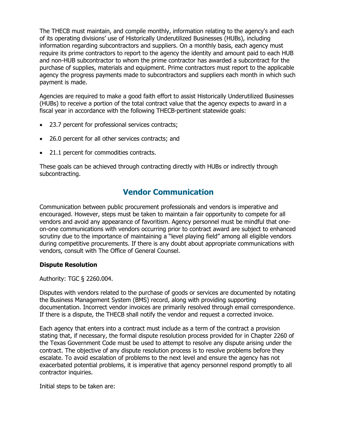The THECB must maintain, and compile monthly, information relating to the agency's and each of its operating divisions' use of Historically Underutilized Businesses (HUBs), including information regarding subcontractors and suppliers. On a monthly basis, each agency must require its prime contractors to report to the agency the identity and amount paid to each HUB and non-HUB subcontractor to whom the prime contractor has awarded a subcontract for the purchase of supplies, materials and equipment. Prime contractors must report to the applicable agency the progress payments made to subcontractors and suppliers each month in which such payment is made.

Agencies are required to make a good faith effort to assist Historically Underutilized Businesses (HUBs) to receive a portion of the total contract value that the agency expects to award in a fiscal year in accordance with the following THECB-pertinent statewide goals:

- 23.7 percent for professional services contracts;
- 26.0 percent for all other services contracts; and
- 21.1 percent for commodities contracts.

These goals can be achieved through contracting directly with HUBs or indirectly through subcontracting.

## **Vendor Communication**

<span id="page-12-0"></span>Communication between public procurement professionals and vendors is imperative and encouraged. However, steps must be taken to maintain a fair opportunity to compete for all vendors and avoid any appearance of favoritism. Agency personnel must be mindful that oneon-one communications with vendors occurring prior to contract award are subject to enhanced scrutiny due to the importance of maintaining a "level playing field" among all eligible vendors during competitive procurements. If there is any doubt about appropriate communications with vendors, consult with The Office of General Counsel.

#### **Dispute Resolution**

Authority: TGC § 2260.004.

Disputes with vendors related to the purchase of goods or services are documented by notating the Business Management System (BMS) record, along with providing supporting documentation. Incorrect vendor invoices are primarily resolved through email correspondence. If there is a dispute, the THECB shall notify the vendor and request a corrected invoice.

Each agency that enters into a contract must include as a term of the contract a provision stating that, if necessary, the formal dispute resolution process provided for in Chapter 2260 of the Texas Government Code must be used to attempt to resolve any dispute arising under the contract. The objective of any dispute resolution process is to resolve problems before they escalate. To avoid escalation of problems to the next level and ensure the agency has not exacerbated potential problems, it is imperative that agency personnel respond promptly to all contractor inquiries.

Initial steps to be taken are: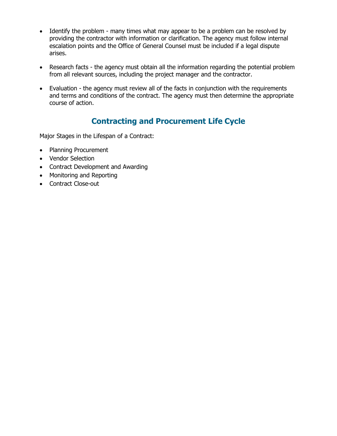- Identify the problem many times what may appear to be a problem can be resolved by providing the contractor with information or clarification. The agency must follow internal escalation points and the Office of General Counsel must be included if a legal dispute arises.
- Research facts the agency must obtain all the information regarding the potential problem from all relevant sources, including the project manager and the contractor.
- Evaluation the agency must review all of the facts in conjunction with the requirements and terms and conditions of the contract. The agency must then determine the appropriate course of action.

# **Contracting and Procurement Life Cycle**

<span id="page-13-0"></span>Major Stages in the Lifespan of a Contract:

- Planning Procurement
- Vendor Selection
- Contract Development and Awarding
- Monitoring and Reporting
- Contract Close-out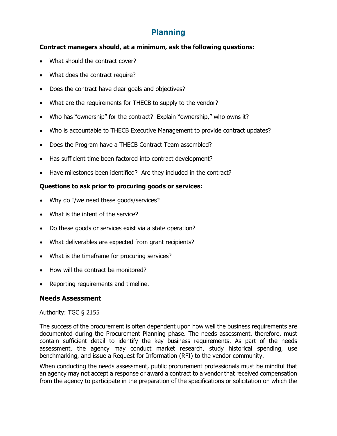# **Planning**

#### <span id="page-14-0"></span>**Contract managers should, at a minimum, ask the following questions:**

- What should the contract cover?
- What does the contract require?
- Does the contract have clear goals and objectives?
- What are the requirements for THECB to supply to the vendor?
- Who has "ownership" for the contract? Explain "ownership," who owns it?
- Who is accountable to THECB Executive Management to provide contract updates?
- Does the Program have a THECB Contract Team assembled?
- Has sufficient time been factored into contract development?
- Have milestones been identified? Are they included in the contract?

## **Questions to ask prior to procuring goods or services:**

- Why do I/we need these goods/services?
- What is the intent of the service?
- Do these goods or services exist via a state operation?
- What deliverables are expected from grant recipients?
- What is the timeframe for procuring services?
- How will the contract be monitored?
- Reporting requirements and timeline.

## <span id="page-14-1"></span>**Needs Assessment**

#### Authority: TGC § 2155

The success of the procurement is often dependent upon how well the business requirements are documented during the Procurement Planning phase. The needs assessment, therefore, must contain sufficient detail to identify the key business requirements. As part of the needs assessment, the agency may conduct market research, study historical spending, use benchmarking, and issue a Request for Information (RFI) to the vendor community.

When conducting the needs assessment, public procurement professionals must be mindful that an agency may not accept a response or award a contract to a vendor that received compensation from the agency to participate in the preparation of the specifications or solicitation on which the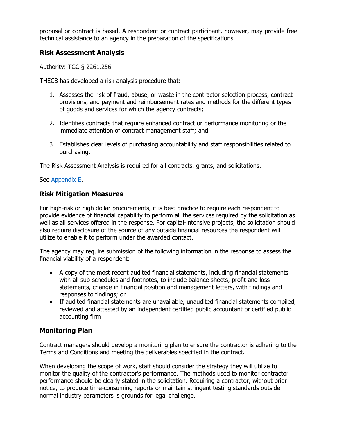proposal or contract is based. A respondent or contract participant, however, may provide free technical assistance to an agency in the preparation of the specifications.

## <span id="page-15-0"></span>**Risk Assessment Analysis**

Authority: TGC § 2261.256.

THECB has developed a risk analysis procedure that:

- 1. Assesses the risk of fraud, abuse, or waste in the contractor selection process, contract provisions, and payment and reimbursement rates and methods for the different types of goods and services for which the agency contracts;
- 2. Identifies contracts that require enhanced contract or performance monitoring or the immediate attention of contract management staff; and
- 3. Establishes clear levels of purchasing accountability and staff responsibilities related to purchasing.

The Risk Assessment Analysis is required for all contracts, grants, and solicitations.

#### See [Appendix E.](#page-50-0)

## **Risk Mitigation Measures**

For high-risk or high dollar procurements, it is best practice to require each respondent to provide evidence of financial capability to perform all the services required by the solicitation as well as all services offered in the response. For capital-intensive projects, the solicitation should also require disclosure of the source of any outside financial resources the respondent will utilize to enable it to perform under the awarded contact.

The agency may require submission of the following information in the response to assess the financial viability of a respondent:

- A copy of the most recent audited financial statements, including financial statements with all sub-schedules and footnotes, to include balance sheets, profit and loss statements, change in financial position and management letters, with findings and responses to findings; or
- If audited financial statements are unavailable, unaudited financial statements compiled, reviewed and attested by an independent certified public accountant or certified public accounting firm

## <span id="page-15-1"></span>**Monitoring Plan**

Contract managers should develop a monitoring plan to ensure the contractor is adhering to the Terms and Conditions and meeting the deliverables specified in the contract.

When developing the scope of work, staff should consider the strategy they will utilize to monitor the quality of the contractor's performance. The methods used to monitor contractor performance should be clearly stated in the solicitation. Requiring a contractor, without prior notice, to produce time-consuming reports or maintain stringent testing standards outside normal industry parameters is grounds for legal challenge.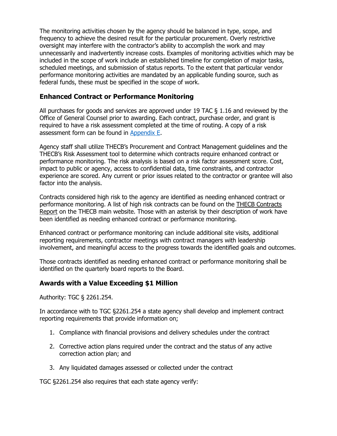The monitoring activities chosen by the agency should be balanced in type, scope, and frequency to achieve the desired result for the particular procurement. Overly restrictive oversight may interfere with the contractor's ability to accomplish the work and may unnecessarily and inadvertently increase costs. Examples of monitoring activities which may be included in the scope of work include an established timeline for completion of major tasks, scheduled meetings, and submission of status reports. To the extent that particular vendor performance monitoring activities are mandated by an applicable funding source, such as federal funds, these must be specified in the scope of work.

## <span id="page-16-0"></span>**Enhanced Contract or Performance Monitoring**

All purchases for goods and services are approved under 19 TAC § 1.16 and reviewed by the Office of General Counsel prior to awarding. Each contract, purchase order, and grant is required to have a risk assessment completed at the time of routing. A copy of a risk assessment form can be found in [Appendix E.](#page-50-0)

Agency staff shall utilize THECB's Procurement and Contract Management guidelines and the THECB's Risk Assessment tool to determine which contracts require enhanced contract or performance monitoring. The risk analysis is based on a risk factor assessment score. Cost, impact to public or agency, access to confidential data, time constraints, and contractor experience are scored. Any current or prior issues related to the contractor or grantee will also factor into the analysis.

Contracts considered high risk to the agency are identified as needing enhanced contract or performance monitoring. A list of high risk contracts can be found on the [THECB Contracts](http://www.thecb.state.tx.us/apps/stategrants/nobidcontracts.cfm)  [Report](http://www.thecb.state.tx.us/apps/stategrants/nobidcontracts.cfm) on the THECB main website. Those with an asterisk by their description of work have been identified as needing enhanced contract or performance monitoring.

Enhanced contract or performance monitoring can include additional site visits, additional reporting requirements, contractor meetings with contract managers with leadership involvement, and meaningful access to the progress towards the identified goals and outcomes.

Those contracts identified as needing enhanced contract or performance monitoring shall be identified on the quarterly board reports to the Board.

## <span id="page-16-1"></span>**Awards with a Value Exceeding \$1 Million**

Authority: TGC § 2261.254.

In accordance with to TGC §2261.254 a state agency shall develop and implement contract reporting requirements that provide information on;

- 1. Compliance with financial provisions and delivery schedules under the contract
- 2. Corrective action plans required under the contract and the status of any active correction action plan; and
- 3. Any liquidated damages assessed or collected under the contract

TGC §2261.254 also requires that each state agency verify: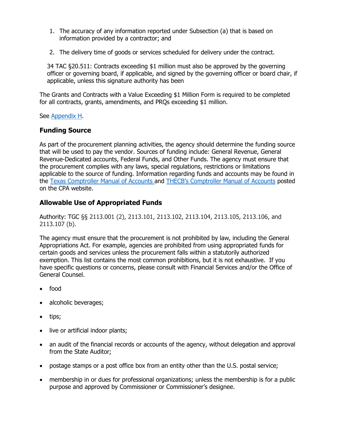- 1. The accuracy of any information reported under Subsection (a) that is based on information provided by a contractor; and
- 2. The delivery time of goods or services scheduled for delivery under the contract.

34 TAC §20.511: Contracts exceeding \$1 million must also be approved by the governing officer or governing board, if applicable, and signed by the governing officer or board chair, if applicable, unless this signature authority has been

The Grants and Contracts with a Value Exceeding \$1 Million Form is required to be completed for all contracts, grants, amendments, and PRQs exceeding \$1 million.

See [Appendix H.](#page-58-0)

#### <span id="page-17-0"></span>**Funding Source**

As part of the procurement planning activities, the agency should determine the funding source that will be used to pay the vendor. Sources of funding include: General Revenue, General Revenue-Dedicated accounts, Federal Funds, and Other Funds. The agency must ensure that the procurement complies with any laws, special regulations, restrictions or limitations applicable to the source of funding. Information regarding funds and accounts may be found in the [Texas Comptroller Manual of Accounts](https://comptroller.texas.gov/) and [THECB's Comptroller Manual of](https://fmcpa.cpa.state.tx.us/fiscalmoa/agency.jsp?num=781) Accounts posted on the CPA website.

#### <span id="page-17-1"></span>**Allowable Use of Appropriated Funds**

Authority: TGC §§ 2113.001 (2), 2113.101, 2113.102, 2113.104, 2113.105, 2113.106, and 2113.107 (b).

The agency must ensure that the procurement is not prohibited by law, including the General Appropriations Act. For example, agencies are prohibited from using appropriated funds for certain goods and services unless the procurement falls within a statutorily authorized exemption. This list contains the most common prohibitions, but it is not exhaustive. If you have specific questions or concerns, please consult with Financial Services and/or the Office of General Counsel.

- food
- alcoholic beverages;
- tips;
- live or artificial indoor plants;
- an audit of the financial records or accounts of the agency, without delegation and approval from the State Auditor;
- postage stamps or a post office box from an entity other than the U.S. postal service;
- membership in or dues for professional organizations; unless the membership is for a public purpose and approved by Commissioner or Commissioner's designee.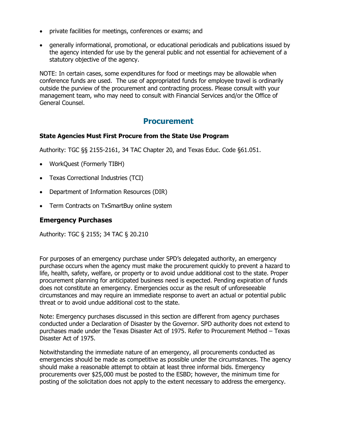- private facilities for meetings, conferences or exams; and
- generally informational, promotional, or educational periodicals and publications issued by the agency intended for use by the general public and not essential for achievement of a statutory objective of the agency.

NOTE: In certain cases, some expenditures for food or meetings may be allowable when conference funds are used. The use of appropriated funds for employee travel is ordinarily outside the purview of the procurement and contracting process. Please consult with your management team, who may need to consult with Financial Services and/or the Office of General Counsel.

## **Procurement**

#### <span id="page-18-1"></span><span id="page-18-0"></span>**State Agencies Must First Procure from the State Use Program**

Authority: TGC §§ 2155-2161, 34 TAC Chapter 20, and Texas Educ. Code §61.051.

- [WorkQuest](#page-42-0) (Formerly TIBH)
- [Texas Correctional Industries \(TCI\)](#page-42-1)
- [Department of Information Resources \(DIR\)](#page-41-0)
- Term Contracts on [TxSmartBuy online system](#page-42-2)

#### <span id="page-18-2"></span>**Emergency Purchases**

Authority: TGC § 2155; 34 TAC § 20.210

For purposes of an emergency purchase under SPD's delegated authority, an emergency purchase occurs when the agency must make the procurement quickly to prevent a hazard to life, health, safety, welfare, or property or to avoid undue additional cost to the state. Proper procurement planning for anticipated business need is expected. Pending expiration of funds does not constitute an emergency. Emergencies occur as the result of unforeseeable circumstances and may require an immediate response to avert an actual or potential public threat or to avoid undue additional cost to the state.

Note: Emergency purchases discussed in this section are different from agency purchases conducted under a Declaration of Disaster by the Governor. SPD authority does not extend to purchases made under the Texas Disaster Act of 1975. Refer to Procurement Method – Texas Disaster Act of 1975.

Notwithstanding the immediate nature of an emergency, all procurements conducted as emergencies should be made as competitive as possible under the circumstances. The agency should make a reasonable attempt to obtain at least three informal bids. Emergency procurements over \$25,000 must be posted to the ESBD; however, the minimum time for posting of the solicitation does not apply to the extent necessary to address the emergency.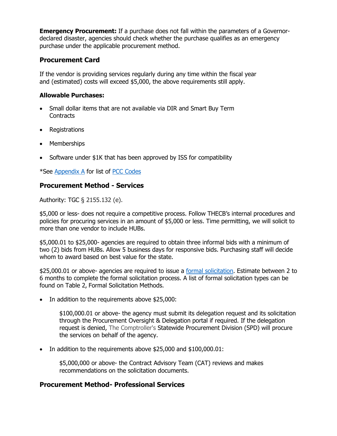**Emergency Procurement:** If a purchase does not fall within the parameters of a Governordeclared disaster, agencies should check whether the purchase qualifies as an emergency purchase under the applicable procurement method.

## <span id="page-19-0"></span>**Procurement Card**

If the vendor is providing services regularly during any time within the fiscal year and (estimated) costs will exceed \$5,000, the above requirements still apply.

#### **Allowable Purchases:**

- Small dollar items that are not available via DIR and Smart Buy Term **Contracts**
- Registrations
- Memberships
- Software under \$1K that has been approved by ISS for compatibility

\*See [Appendix A](#page-42-3) for list of [PCC Codes](#page-42-3)

## <span id="page-19-1"></span>**Procurement Method - Services**

Authority: TGC § 2155.132 (e).

\$5,000 or less- does not require a competitive process. Follow THECB's internal procedures and policies for procuring services in an amount of \$5,000 or less. Time permitting, we will solicit to more than one vendor to include HUBs.

\$5,000.01 to \$25,000- agencies are required to obtain three informal bids with a minimum of two (2) bids from HUBs. Allow 5 business days for responsive bids. Purchasing staff will decide whom to award based on best value for the state.

\$25,000.01 or above- agencies are required to issue a [formal solicitation.](#page-27-0) Estimate between 2 to 6 months to complete the formal solicitation process. A list of formal solicitation types can be found on Table 2, Formal Solicitation Methods.

• In addition to the requirements above \$25,000:

\$100,000.01 or above- the agency must submit its delegation request and its solicitation through the Procurement Oversight & Delegation portal if required. If the delegation request is denied, The Comptroller's Statewide Procurement Division (SPD) will procure the services on behalf of the agency.

• In addition to the requirements above \$25,000 and \$100,000.01:

\$5,000,000 or above- the Contract Advisory Team (CAT) reviews and makes recommendations on the solicitation documents.

#### <span id="page-19-2"></span>**Procurement Method- Professional Services**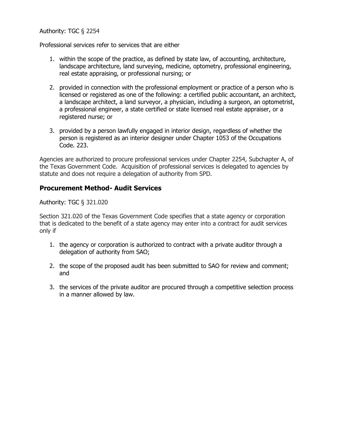#### Authority: TGC § 2254

Professional services refer to services that are either

- 1. within the scope of the practice, as defined by state law, of accounting, architecture, landscape architecture, land surveying, medicine, optometry, professional engineering, real estate appraising, or professional nursing; or
- 2. provided in connection with the professional employment or practice of a person who is licensed or registered as one of the following: a certified public accountant, an architect, a landscape architect, a land surveyor, a physician, including a surgeon, an optometrist, a professional engineer, a state certified or state licensed real estate appraiser, or a registered nurse; or
- 3. provided by a person lawfully engaged in interior design, regardless of whether the person is registered as an interior designer under Chapter 1053 of the Occupations Code. 223.

Agencies are authorized to procure professional services under Chapter 2254, Subchapter A, of the Texas Government Code. Acquisition of professional services is delegated to agencies by statute and does not require a delegation of authority from SPD.

#### <span id="page-20-0"></span>**Procurement Method- Audit Services**

Authority: TGC § 321.020

Section 321.020 of the Texas Government Code specifies that a state agency or corporation that is dedicated to the benefit of a state agency may enter into a contract for audit services only if

- 1. the agency or corporation is authorized to contract with a private auditor through a delegation of authority from SAO;
- 2. the scope of the proposed audit has been submitted to SAO for review and comment; and
- 3. the services of the private auditor are procured through a competitive selection process in a manner allowed by law.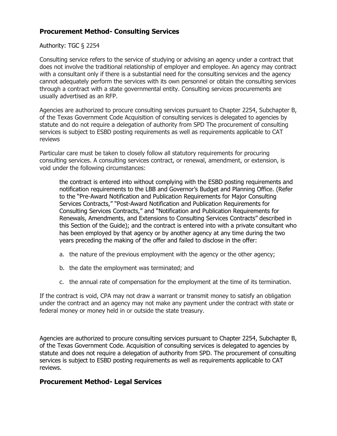## <span id="page-21-0"></span>**Procurement Method- Consulting Services**

#### Authority: TGC § 2254

Consulting service refers to the service of studying or advising an agency under a contract that does not involve the traditional relationship of employer and employee. An agency may contract with a consultant only if there is a substantial need for the consulting services and the agency cannot adequately perform the services with its own personnel or obtain the consulting services through a contract with a state governmental entity. Consulting services procurements are usually advertised as an RFP.

Agencies are authorized to procure consulting services pursuant to Chapter 2254, Subchapter B, of the Texas Government Code Acquisition of consulting services is delegated to agencies by statute and do not require a delegation of authority from SPD The procurement of consulting services is subject to ESBD posting requirements as well as requirements applicable to CAT reviews

Particular care must be taken to closely follow all statutory requirements for procuring consulting services. A consulting services contract, or renewal, amendment, or extension, is void under the following circumstances:

the contract is entered into without complying with the ESBD posting requirements and notification requirements to the LBB and Governor's Budget and Planning Office. (Refer to the "Pre-Award Notification and Publication Requirements for Major Consulting Services Contracts," "Post-Award Notification and Publication Requirements for Consulting Services Contracts," and "Notification and Publication Requirements for Renewals, Amendments, and Extensions to Consulting Services Contracts" described in this Section of the Guide); and the contract is entered into with a private consultant who has been employed by that agency or by another agency at any time during the two years preceding the making of the offer and failed to disclose in the offer:

- a. the nature of the previous employment with the agency or the other agency;
- b. the date the employment was terminated; and
- c. the annual rate of compensation for the employment at the time of its termination.

If the contract is void, CPA may not draw a warrant or transmit money to satisfy an obligation under the contract and an agency may not make any payment under the contract with state or federal money or money held in or outside the state treasury.

Agencies are authorized to procure consulting services pursuant to Chapter 2254, Subchapter B, of the Texas Government Code. Acquisition of consulting services is delegated to agencies by statute and does not require a delegation of authority from SPD. The procurement of consulting services is subject to ESBD posting requirements as well as requirements applicable to CAT reviews.

#### <span id="page-21-1"></span>**Procurement Method- Legal Services**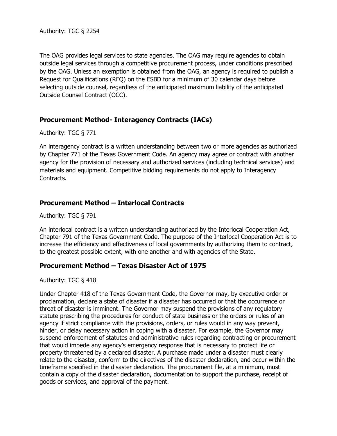The OAG provides legal services to state agencies. The OAG may require agencies to obtain outside legal services through a competitive procurement process, under conditions prescribed by the OAG. Unless an exemption is obtained from the OAG, an agency is required to publish a Request for Qualifications (RFQ) on the ESBD for a minimum of 30 calendar days before selecting outside counsel, regardless of the anticipated maximum liability of the anticipated Outside Counsel Contract (OCC).

## **Procurement Method- Interagency Contracts (IACs)**

Authority: TGC § 771

An interagency contract is a written understanding between two or more agencies as authorized by Chapter 771 of the Texas Government Code. An agency may agree or contract with another agency for the provision of necessary and authorized services (including technical services) and materials and equipment. Competitive bidding requirements do not apply to Interagency Contracts.

#### **Procurement Method – Interlocal Contracts**

Authority: TGC § 791

An interlocal contract is a written understanding authorized by the Interlocal Cooperation Act, Chapter 791 of the Texas Government Code. The purpose of the Interlocal Cooperation Act is to increase the efficiency and effectiveness of local governments by authorizing them to contract, to the greatest possible extent, with one another and with agencies of the State.

#### **Procurement Method – Texas Disaster Act of 1975**

Authority: TGC § 418

Under Chapter 418 of the Texas Government Code, the Governor may, by executive order or proclamation, declare a state of disaster if a disaster has occurred or that the occurrence or threat of disaster is imminent. The Governor may suspend the provisions of any regulatory statute prescribing the procedures for conduct of state business or the orders or rules of an agency if strict compliance with the provisions, orders, or rules would in any way prevent, hinder, or delay necessary action in coping with a disaster. For example, the Governor may suspend enforcement of statutes and administrative rules regarding contracting or procurement that would impede any agency's emergency response that is necessary to protect life or property threatened by a declared disaster. A purchase made under a disaster must clearly relate to the disaster, conform to the directives of the disaster declaration, and occur within the timeframe specified in the disaster declaration. The procurement file, at a minimum, must contain a copy of the disaster declaration, documentation to support the purchase, receipt of goods or services, and approval of the payment.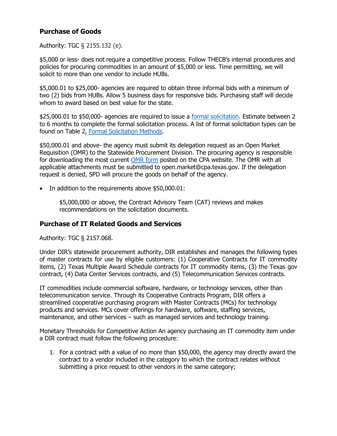## <span id="page-24-0"></span>**Purchase of Goods**

Authority: TGC § 2155.132 (e).

\$5,000 or less- does not require a competitive process. Follow THECB's internal procedures and policies for procuring commodities in an amount of \$5,000 or less. Time permitting, we will solicit to more than one vendor to include HUBs.

\$5,000.01 to \$25,000- agencies are required to obtain three informal bids with a minimum of two (2) bids from HUBs. Allow 5 business days for responsive bids. Purchasing staff will decide whom to award based on best value for the state.

\$25,000.01 to \$50,000- agencies are required to issue a [formal solicitation.](#page-27-0) Estimate between 2 to 6 months to complete the formal solicitation process. A list of formal solicitation types can be found on Table 2, [Formal Solicitation Methods.](#page-27-0)

\$50,000.01 and above- the agency must submit its delegation request as an Open Market Requisition (OMR) to the Statewide Procurement Division. The procuring agency is responsible for downloading the most current [OMR form](https://comptroller.texas.gov/purchasing/forms/) posted on the CPA website. The OMR with all applicable attachments must be submitted to open.market@cpa.texas.gov. If the delegation request is denied, SPD will procure the goods on behalf of the agency.

• In addition to the requirements above \$50,000.01:

\$5,000,000 or above, the Contract Advisory Team (CAT) reviews and makes recommendations on the solicitation documents.

## <span id="page-24-1"></span>**Purchase of IT Related Goods and Services**

Authority: TGC § 2157.068.

Under DIR's statewide procurement authority, DIR establishes and manages the following types of master contracts for use by eligible customers: (1) Cooperative Contracts for IT commodity items, (2) Texas Multiple Award Schedule contracts for IT commodity items, (3) the Texas gov contract, (4) Data Center Services contracts, and (5) Telecommunication Services contracts.

IT commodities include commercial software, hardware, or technology services, other than telecommunication service. Through its Cooperative Contracts Program, DIR offers a streamlined cooperative purchasing program with Master Contracts (MCs) for technology products and services. MCs cover offerings for hardware, software, staffing services, maintenance, and other services – such as managed services and technology training.

Monetary Thresholds for Competitive Action An agency purchasing an IT commodity item under a DIR contract must follow the following procedure:

1. For a contract with a value of no more than \$50,000, the agency may directly award the contract to a vendor included in the category to which the contract relates without submitting a price request to other vendors in the same category;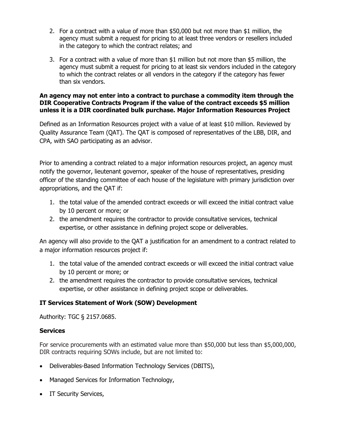- 2. For a contract with a value of more than \$50,000 but not more than \$1 million, the agency must submit a request for pricing to at least three vendors or resellers included in the category to which the contract relates; and
- 3. For a contract with a value of more than \$1 million but not more than \$5 million, the agency must submit a request for pricing to at least six vendors included in the category to which the contract relates or all vendors in the category if the category has fewer than six vendors.

#### **An agency may not enter into a contract to purchase a commodity item through the DIR Cooperative Contracts Program if the value of the contract exceeds \$5 million unless it is a DIR coordinated bulk purchase. Major Information Resources Project**

Defined as an Information Resources project with a value of at least \$10 million. Reviewed by Quality Assurance Team (QAT). The QAT is composed of representatives of the LBB, DIR, and CPA, with SAO participating as an advisor.

Prior to amending a contract related to a major information resources project, an agency must notify the governor, lieutenant governor, speaker of the house of representatives, presiding officer of the standing committee of each house of the legislature with primary jurisdiction over appropriations, and the QAT if:

- 1. the total value of the amended contract exceeds or will exceed the initial contract value by 10 percent or more; or
- 2. the amendment requires the contractor to provide consultative services, technical expertise, or other assistance in defining project scope or deliverables.

An agency will also provide to the QAT a justification for an amendment to a contract related to a major information resources project if:

- 1. the total value of the amended contract exceeds or will exceed the initial contract value by 10 percent or more; or
- 2. the amendment requires the contractor to provide consultative services, technical expertise, or other assistance in defining project scope or deliverables.

## **IT Services Statement of Work (SOW) Development**

Authority: TGC § 2157.0685.

## **Services**

For service procurements with an estimated value more than \$50,000 but less than \$5,000,000, DIR contracts requiring SOWs include, but are not limited to:

- Deliverables-Based Information Technology Services (DBITS),
- Managed Services for Information Technology,
- IT Security Services,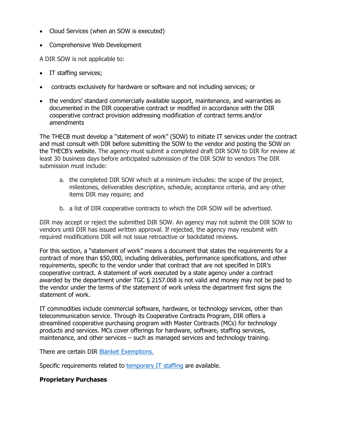- Cloud Services (when an SOW is executed)
- Comprehensive Web Development

A DIR SOW is not applicable to:

- IT staffing services;
- contracts exclusively for hardware or software and not including services; or
- the vendors' standard commercially available support, maintenance, and warranties as documented in the DIR cooperative contract or modified in accordance with the DIR cooperative contract provision addressing modification of contract terms and/or amendments

The THECB must develop a "statement of work" (SOW) to initiate IT services under the contract and must consult with DIR before submitting the SOW to the vendor and posting the SOW on the THECB's website. The agency must submit a completed draft DIR SOW to DIR for review at least 30 business days before anticipated submission of the DIR SOW to vendors The DIR submission must include:

- a. the completed DIR SOW which at a minimum includes: the scope of the project, milestones, deliverables description, schedule, acceptance criteria, and any other items DIR may require; and
- b. a list of DIR cooperative contracts to which the DIR SOW will be advertised.

DIR may accept or reject the submitted DIR SOW. An agency may not submit the DIR SOW to vendors until DIR has issued written approval. If rejected, the agency may resubmit with required modifications DIR will not issue retroactive or backdated reviews.

For this section, a "statement of work" means a document that states the requirements for a contract of more than \$50,000, including deliverables, performance specifications, and other requirements, specific to the vendor under that contract that are not specified in DIR's cooperative contract. A statement of work executed by a state agency under a contract awarded by the department under TGC § 2157.068 is not valid and money may not be paid to the vendor under the terms of the statement of work unless the department first signs the statement of work.

IT commodities include commercial software, hardware, or technology services, other than telecommunication service. Through its Cooperative Contracts Program, DIR offers a streamlined cooperative purchasing program with Master Contracts (MCs) for technology products and services. MCs cover offerings for hardware, software, staffing services, maintenance, and other services – such as managed services and technology training.

There are certain DIR [Blanket Exemptions.](http://dir.texas.gov/View-Contracts-And-Services/Pages/Content.aspx?id=3)

Specific requirements related to [temporary IT staffing](http://dir.texas.gov/View-Contracts-And-Services/Pages/Content.aspx?id=13) are available.

#### **Proprietary Purchases**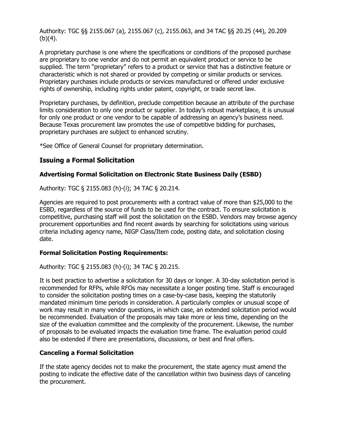Authority: TGC §§ 2155.067 (a), 2155.067 (c), 2155.063, and 34 TAC §§ 20.25 (44), 20.209  $(b)(4)$ .

A proprietary purchase is one where the specifications or conditions of the proposed purchase are proprietary to one vendor and do not permit an equivalent product or service to be supplied. The term "proprietary" refers to a product or service that has a distinctive feature or characteristic which is not shared or provided by competing or similar products or services. Proprietary purchases include products or services manufactured or offered under exclusive rights of ownership, including rights under patent, copyright, or trade secret law.

Proprietary purchases, by definition, preclude competition because an attribute of the purchase limits consideration to only one product or supplier. In today's robust marketplace, it is unusual for only one product or one vendor to be capable of addressing an agency's business need. Because Texas procurement law promotes the use of competitive bidding for purchases, proprietary purchases are subject to enhanced scrutiny.

\*See Office of General Counsel for proprietary determination.

## <span id="page-27-0"></span>**Issuing a Formal Solicitation**

#### **Advertising Formal Solicitation on Electronic State Business Daily (ESBD)**

Authority: TGC § 2155.083 (h)-(i); 34 TAC § 20.214.

Agencies are required to post procurements with a contract value of more than \$25,000 to the ESBD, regardless of the source of funds to be used for the contract. To ensure solicitation is competitive, purchasing staff will post the solicitation on the ESBD. Vendors may browse agency procurement opportunities and find recent awards by searching for solicitations using various criteria including agency name, NIGP Class/Item code, posting date, and solicitation closing date.

#### **Formal Solicitation Posting Requirements:**

Authority: TGC § 2155.083 (h)-(i); 34 TAC § 20.215.

It is best practice to advertise a solicitation for 30 days or longer. A 30-day solicitation period is recommended for RFPs, while RFOs may necessitate a longer posting time. Staff is encouraged to consider the solicitation posting times on a case-by-case basis, keeping the statutorily mandated minimum time periods in consideration. A particularly complex or unusual scope of work may result in many vendor questions, in which case, an extended solicitation period would be recommended. Evaluation of the proposals may take more or less time, depending on the size of the evaluation committee and the complexity of the procurement. Likewise, the number of proposals to be evaluated impacts the evaluation time frame. The evaluation period could also be extended if there are presentations, discussions, or best and final offers.

#### **Canceling a Formal Solicitation**

If the state agency decides not to make the procurement, the state agency must amend the posting to indicate the effective date of the cancellation within two business days of canceling the procurement.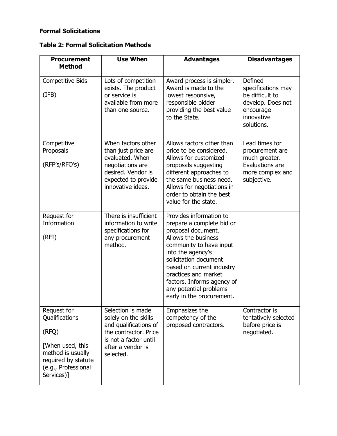## **Formal Solicitations**

|  |  |  |  | <b>Table 2: Formal Solicitation Methods</b> |  |
|--|--|--|--|---------------------------------------------|--|
|--|--|--|--|---------------------------------------------|--|

| <b>Procurement</b><br><b>Method</b>                                                                                                         | <b>Use When</b>                                                                                                                                        | <b>Advantages</b>                                                                                                                                                                                                                                                                                                    | <b>Disadvantages</b>                                                                                           |
|---------------------------------------------------------------------------------------------------------------------------------------------|--------------------------------------------------------------------------------------------------------------------------------------------------------|----------------------------------------------------------------------------------------------------------------------------------------------------------------------------------------------------------------------------------------------------------------------------------------------------------------------|----------------------------------------------------------------------------------------------------------------|
| <b>Competitive Bids</b><br>(IFB)                                                                                                            | Lots of competition<br>exists. The product<br>or service is<br>available from more<br>than one source.                                                 | Award process is simpler.<br>Award is made to the<br>lowest responsive,<br>responsible bidder<br>providing the best value<br>to the State.                                                                                                                                                                           | Defined<br>specifications may<br>be difficult to<br>develop. Does not<br>encourage<br>innovative<br>solutions. |
| Competitive<br>Proposals<br>(RFP's/RFO's)                                                                                                   | When factors other<br>than just price are<br>evaluated. When<br>negotiations are<br>desired. Vendor is<br>expected to provide<br>innovative ideas.     | Allows factors other than<br>price to be considered.<br>Allows for customized<br>proposals suggesting<br>different approaches to<br>the same business need.<br>Allows for negotiations in<br>order to obtain the best<br>value for the state.                                                                        | Lead times for<br>procurement are<br>much greater.<br>Evaluations are<br>more complex and<br>subjective.       |
| Request for<br>Information<br>(RFI)                                                                                                         | There is insufficient<br>information to write<br>specifications for<br>any procurement<br>method.                                                      | Provides information to<br>prepare a complete bid or<br>proposal document.<br>Allows the business<br>community to have input<br>into the agency's<br>solicitation document<br>based on current industry<br>practices and market<br>factors. Informs agency of<br>any potential problems<br>early in the procurement. |                                                                                                                |
| Request for<br>Qualifications<br>(RFQ)<br>[When used, this<br>method is usually<br>required by statute<br>(e.g., Professional<br>Services)] | Selection is made<br>solely on the skills<br>and qualifications of<br>the contractor. Price<br>is not a factor until<br>after a vendor is<br>selected. | Emphasizes the<br>competency of the<br>proposed contractors.                                                                                                                                                                                                                                                         | Contractor is<br>tentatively selected<br>before price is<br>negotiated.                                        |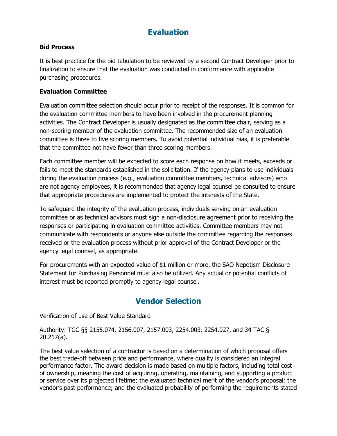# **Evaluation**

#### <span id="page-29-0"></span>**Bid Process**

It is best practice for the bid tabulation to be reviewed by a second Contract Developer prior to finalization to ensure that the evaluation was conducted in conformance with applicable purchasing procedures.

#### **Evaluation Committee**

Evaluation committee selection should occur prior to receipt of the responses. It is common for the evaluation committee members to have been involved in the procurement planning activities. The Contract Developer is usually designated as the committee chair, serving as a non-scoring member of the evaluation committee. The recommended size of an evaluation committee is three to five scoring members. To avoid potential individual bias, it is preferable that the committee not have fewer than three scoring members.

Each committee member will be expected to score each response on how it meets, exceeds or fails to meet the standards established in the solicitation. If the agency plans to use individuals during the evaluation process (e.g., evaluation committee members, technical advisors) who are not agency employees, it is recommended that agency legal counsel be consulted to ensure that appropriate procedures are implemented to protect the interests of the State.

To safeguard the integrity of the evaluation process, individuals serving on an evaluation committee or as technical advisors must sign a non-disclosure agreement prior to receiving the responses or participating in evaluation committee activities. Committee members may not communicate with respondents or anyone else outside the committee regarding the responses received or the evaluation process without prior approval of the Contract Developer or the agency legal counsel, as appropriate.

For procurements with an expected value of \$1 million or more, the SAO Nepotism Disclosure Statement for Purchasing Personnel must also be utilized. Any actual or potential conflicts of interest must be reported promptly to agency legal counsel.

# **Vendor Selection**

<span id="page-29-1"></span>Verification of use of Best Value Standard

Authority: TGC §§ 2155.074, 2156.007, 2157.003, 2254.003, 2254.027, and 34 TAC § 20.217(a).

The best value selection of a contractor is based on a determination of which proposal offers the best trade-off between price and performance, where quality is considered an integral performance factor. The award decision is made based on multiple factors, including total cost of ownership, meaning the cost of acquiring, operating, maintaining, and supporting a product or service over its projected lifetime; the evaluated technical merit of the vendor's proposal; the vendor's past performance; and the evaluated probability of performing the requirements stated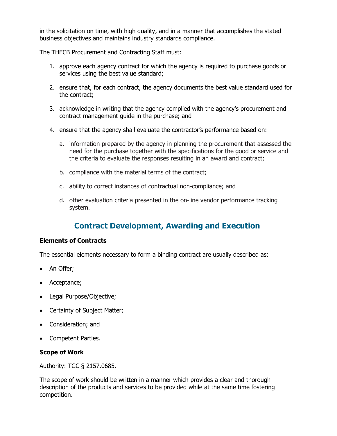in the solicitation on time, with high quality, and in a manner that accomplishes the stated business objectives and maintains industry standards compliance.

The THECB Procurement and Contracting Staff must:

- 1. approve each agency contract for which the agency is required to purchase goods or services using the best value standard;
- 2. ensure that, for each contract, the agency documents the best value standard used for the contract;
- 3. acknowledge in writing that the agency complied with the agency's procurement and contract management guide in the purchase; and
- 4. ensure that the agency shall evaluate the contractor's performance based on:
	- a. information prepared by the agency in planning the procurement that assessed the need for the purchase together with the specifications for the good or service and the criteria to evaluate the responses resulting in an award and contract;
	- b. compliance with the material terms of the contract;
	- c. ability to correct instances of contractual non-compliance; and
	- d. other evaluation criteria presented in the on-line vendor performance tracking system.

# **Contract Development, Awarding and Execution**

#### <span id="page-30-0"></span>**Elements of Contracts**

The essential elements necessary to form a binding contract are usually described as:

- An Offer;
- Acceptance;
- Legal Purpose/Objective;
- Certainty of Subject Matter;
- Consideration; and
- Competent Parties.

#### **Scope of Work**

Authority: TGC § 2157.0685.

The scope of work should be written in a manner which provides a clear and thorough description of the products and services to be provided while at the same time fostering competition.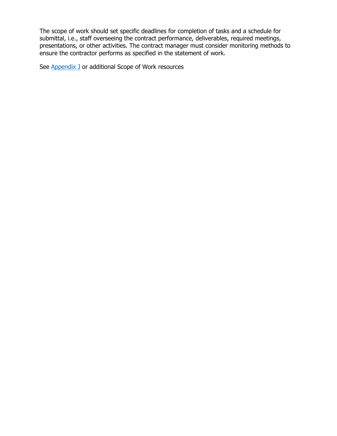The scope of work should set specific deadlines for completion of tasks and a schedule for submittal, i.e., staff overseeing the contract performance, deliverables, required meetings, presentations, or other activities. The contract manager must consider monitoring methods to ensure the contractor performs as specified in the statement of work.

See **Appendix J** or additional Scope of Work resources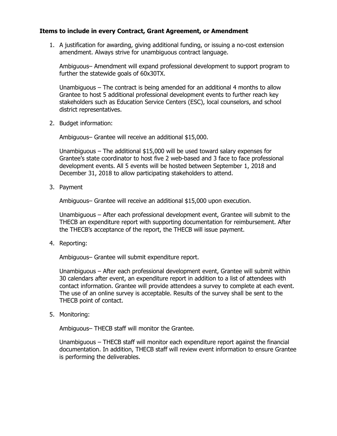#### **Items to include in every Contract, Grant Agreement, or Amendment**

1. A justification for awarding, giving additional funding, or issuing a no-cost extension amendment. Always strive for unambiguous contract language.

Ambiguous– Amendment will expand professional development to support program to further the statewide goals of 60x30TX.

Unambiguous – The contract is being amended for an additional 4 months to allow Grantee to host 5 additional professional development events to further reach key stakeholders such as Education Service Centers (ESC), local counselors, and school district representatives.

2. Budget information:

Ambiguous– Grantee will receive an additional \$15,000.

Unambiguous – The additional \$15,000 will be used toward salary expenses for Grantee's state coordinator to host five 2 web-based and 3 face to face professional development events. All 5 events will be hosted between September 1, 2018 and December 31, 2018 to allow participating stakeholders to attend.

3. Payment

Ambiguous– Grantee will receive an additional \$15,000 upon execution.

Unambiguous – After each professional development event, Grantee will submit to the THECB an expenditure report with supporting documentation for reimbursement. After the THECB's acceptance of the report, the THECB will issue payment.

4. Reporting:

Ambiguous– Grantee will submit expenditure report.

Unambiguous – After each professional development event, Grantee will submit within 30 calendars after event, an expenditure report in addition to a list of attendees with contact information. Grantee will provide attendees a survey to complete at each event. The use of an online survey is acceptable. Results of the survey shall be sent to the THECB point of contact.

5. Monitoring:

Ambiguous– THECB staff will monitor the Grantee.

Unambiguous – THECB staff will monitor each expenditure report against the financial documentation. In addition, THECB staff will review event information to ensure Grantee is performing the deliverables.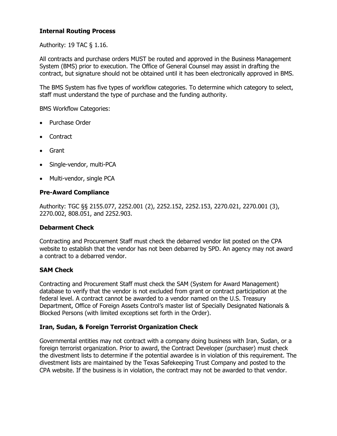#### **Internal Routing Process**

Authority: 19 TAC § 1.16.

All contracts and purchase orders MUST be routed and approved in the Business Management System (BMS) prior to execution. The Office of General Counsel may assist in drafting the contract, but signature should not be obtained until it has been electronically approved in BMS.

The BMS System has five types of workflow categories. To determine which category to select, staff must understand the type of purchase and the funding authority.

BMS Workflow Categories:

- Purchase Order
- Contract
- Grant
- Single-vendor, multi-PCA
- Multi-vendor, single PCA

#### **Pre-Award Compliance**

Authority: TGC §§ 2155.077, 2252.001 (2), 2252.152, 2252.153, 2270.021, 2270.001 (3), 2270.002, 808.051, and 2252.903.

#### **Debarment Check**

Contracting and Procurement Staff must check the debarred vendor list posted on the CPA website to establish that the vendor has not been debarred by SPD. An agency may not award a contract to a debarred vendor.

#### **SAM Check**

Contracting and Procurement Staff must check the SAM (System for Award Management) database to verify that the vendor is not excluded from grant or contract participation at the federal level. A contract cannot be awarded to a vendor named on the U.S. Treasury Department, Office of Foreign Assets Control's master list of Specially Designated Nationals & Blocked Persons (with limited exceptions set forth in the Order).

#### **Iran, Sudan, & Foreign Terrorist Organization Check**

Governmental entities may not contract with a company doing business with Iran, Sudan, or a foreign terrorist organization. Prior to award, the Contract Developer (purchaser) must check the divestment lists to determine if the potential awardee is in violation of this requirement. The divestment lists are maintained by the Texas Safekeeping Trust Company and posted to the CPA website. If the business is in violation, the contract may not be awarded to that vendor.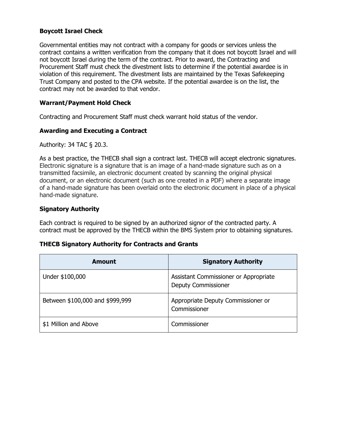#### **Boycott Israel Check**

Governmental entities may not contract with a company for goods or services unless the contract contains a written verification from the company that it does not boycott Israel and will not boycott Israel during the term of the contract. Prior to award, the Contracting and Procurement Staff must check the divestment lists to determine if the potential awardee is in violation of this requirement. The divestment lists are maintained by the Texas Safekeeping Trust Company and posted to the CPA website. If the potential awardee is on the list, the contract may not be awarded to that vendor.

#### **Warrant/Payment Hold Check**

Contracting and Procurement Staff must check warrant hold status of the vendor.

#### **Awarding and Executing a Contract**

Authority: 34 TAC § 20.3.

As a best practice, the THECB shall sign a contract last. THECB will accept electronic signatures. Electronic signature is a signature that is an image of a hand-made signature such as on a transmitted facsimile, an electronic document created by scanning the original physical document, or an electronic document (such as one created in a PDF) where a separate image of a hand-made signature has been overlaid onto the electronic document in place of a physical hand-made signature.

#### **Signatory Authority**

Each contract is required to be signed by an authorized signor of the contracted party. A contract must be approved by the THECB within the BMS System prior to obtaining signatures.

#### **THECB Signatory Authority for Contracts and Grants**

| <b>Amount</b>                   | <b>Signatory Authority</b>                                          |
|---------------------------------|---------------------------------------------------------------------|
| Under \$100,000                 | Assistant Commissioner or Appropriate<br><b>Deputy Commissioner</b> |
| Between \$100,000 and \$999,999 | Appropriate Deputy Commissioner or<br>Commissioner                  |
| \$1 Million and Above           | Commissioner                                                        |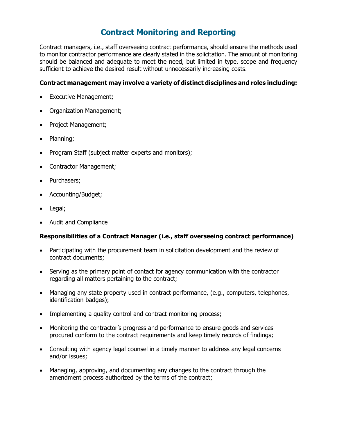# **Contract Monitoring and Reporting**

<span id="page-35-0"></span>Contract managers, i.e., staff overseeing contract performance, should ensure the methods used to monitor contractor performance are clearly stated in the solicitation. The amount of monitoring should be balanced and adequate to meet the need, but limited in type, scope and frequency sufficient to achieve the desired result without unnecessarily increasing costs.

#### **Contract management may involve a variety of distinct disciplines and roles including:**

- Executive Management;
- Organization Management;
- Project Management;
- Planning;
- Program Staff (subject matter experts and monitors);
- Contractor Management;
- Purchasers;
- Accounting/Budget;
- Legal;
- Audit and Compliance

#### **Responsibilities of a Contract Manager (i.e., staff overseeing contract performance)**

- Participating with the procurement team in solicitation development and the review of contract documents;
- Serving as the primary point of contact for agency communication with the contractor regarding all matters pertaining to the contract;
- Managing any state property used in contract performance, (e.g., computers, telephones, identification badges);
- Implementing a quality control and contract monitoring process;
- Monitoring the contractor's progress and performance to ensure goods and services procured conform to the contract requirements and keep timely records of findings;
- Consulting with agency legal counsel in a timely manner to address any legal concerns and/or issues;
- Managing, approving, and documenting any changes to the contract through the amendment process authorized by the terms of the contract;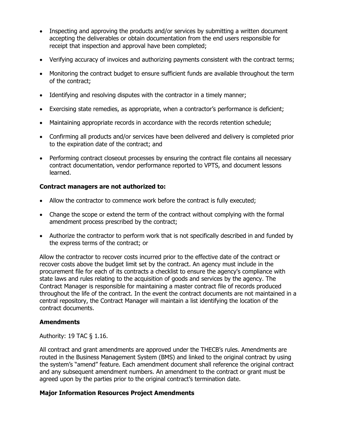- Inspecting and approving the products and/or services by submitting a written document accepting the deliverables or obtain documentation from the end users responsible for receipt that inspection and approval have been completed;
- Verifying accuracy of invoices and authorizing payments consistent with the contract terms;
- Monitoring the contract budget to ensure sufficient funds are available throughout the term of the contract;
- Identifying and resolving disputes with the contractor in a timely manner;
- Exercising state remedies, as appropriate, when a contractor's performance is deficient;
- Maintaining appropriate records in accordance with the records retention schedule;
- Confirming all products and/or services have been delivered and delivery is completed prior to the expiration date of the contract; and
- Performing contract closeout processes by ensuring the contract file contains all necessary contract documentation, vendor performance reported to VPTS, and document lessons learned.

#### **Contract managers are not authorized to:**

- Allow the contractor to commence work before the contract is fully executed;
- Change the scope or extend the term of the contract without complying with the formal amendment process prescribed by the contract;
- Authorize the contractor to perform work that is not specifically described in and funded by the express terms of the contract; or

Allow the contractor to recover costs incurred prior to the effective date of the contract or recover costs above the budget limit set by the contract. An agency must include in the procurement file for each of its contracts a checklist to ensure the agency's compliance with state laws and rules relating to the acquisition of goods and services by the agency. The Contract Manager is responsible for maintaining a master contract file of records produced throughout the life of the contract. In the event the contract documents are not maintained in a central repository, the Contract Manager will maintain a list identifying the location of the contract documents.

#### **Amendments**

Authority: 19 TAC § 1.16.

All contract and grant amendments are approved under the THECB's rules. Amendments are routed in the Business Management System (BMS) and linked to the original contract by using the system's "amend" feature. Each amendment document shall reference the original contract and any subsequent amendment numbers. An amendment to the contract or grant must be agreed upon by the parties prior to the original contract's termination date.

#### **Major Information Resources Project Amendments**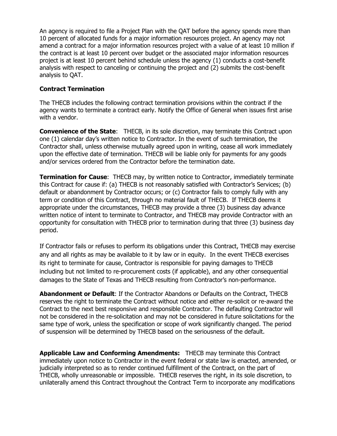An agency is required to file a Project Plan with the QAT before the agency spends more than 10 percent of allocated funds for a major information resources project. An agency may not amend a contract for a major information resources project with a value of at least 10 million if the contract is at least 10 percent over budget or the associated major information resources project is at least 10 percent behind schedule unless the agency (1) conducts a cost-benefit analysis with respect to canceling or continuing the project and (2) submits the cost-benefit analysis to QAT.

## **Contract Termination**

The THECB includes the following contract termination provisions within the contract if the agency wants to terminate a contract early. Notify the Office of General when issues first arise with a vendor.

**Convenience of the State:** THECB, in its sole discretion, may terminate this Contract upon one (1) calendar day's written notice to Contractor. In the event of such termination, the Contractor shall, unless otherwise mutually agreed upon in writing, cease all work immediately upon the effective date of termination. THECB will be liable only for payments for any goods and/or services ordered from the Contractor before the termination date.

**Termination for Cause:** THECB may, by written notice to Contractor, immediately terminate this Contract for cause if: (a) THECB is not reasonably satisfied with Contractor's Services; (b) default or abandonment by Contractor occurs; or (c) Contractor fails to comply fully with any term or condition of this Contract, through no material fault of THECB. If THECB deems it appropriate under the circumstances, THECB may provide a three (3) business day advance written notice of intent to terminate to Contractor, and THECB may provide Contractor with an opportunity for consultation with THECB prior to termination during that three (3) business day period.

If Contractor fails or refuses to perform its obligations under this Contract, THECB may exercise any and all rights as may be available to it by law or in equity. In the event THECB exercises its right to terminate for cause, Contractor is responsible for paying damages to THECB including but not limited to re-procurement costs (if applicable), and any other consequential damages to the State of Texas and THECB resulting from Contractor's non-performance.

**Abandonment or Default**: If the Contractor Abandons or Defaults on the Contract, THECB reserves the right to terminate the Contract without notice and either re-solicit or re-award the Contract to the next best responsive and responsible Contractor. The defaulting Contractor will not be considered in the re-solicitation and may not be considered in future solicitations for the same type of work, unless the specification or scope of work significantly changed. The period of suspension will be determined by THECB based on the seriousness of the default.

**Applicable Law and Conforming Amendments:** THECB may terminate this Contract immediately upon notice to Contractor in the event federal or state law is enacted, amended, or judicially interpreted so as to render continued fulfillment of the Contract, on the part of THECB, wholly unreasonable or impossible. THECB reserves the right, in its sole discretion, to unilaterally amend this Contract throughout the Contract Term to incorporate any modifications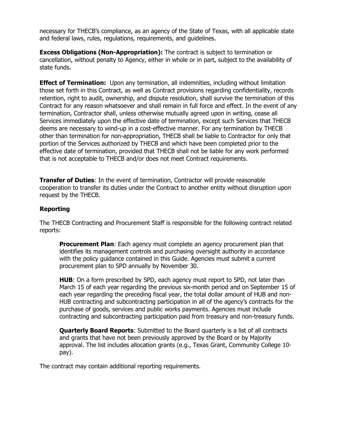necessary for THECB's compliance, as an agency of the State of Texas, with all applicable state and federal laws, rules, regulations, requirements, and guidelines.

**Excess Obligations (Non-Appropriation):** The contract is subject to termination or cancellation, without penalty to Agency, either in whole or in part, subject to the availability of state funds.

**Effect of Termination:** Upon any termination, all indemnities, including without limitation those set forth in this Contract, as well as Contract provisions regarding confidentiality, records retention, right to audit, ownership, and dispute resolution, shall survive the termination of this Contract for any reason whatsoever and shall remain in full force and effect. In the event of any termination, Contractor shall, unless otherwise mutually agreed upon in writing, cease all Services immediately upon the effective date of termination, except such Services that THECB deems are necessary to wind-up in a cost-effective manner. For any termination by THECB other than termination for non-appropriation, THECB shall be liable to Contractor for only that portion of the Services authorized by THECB and which have been completed prior to the effective date of termination, provided that THECB shall not be liable for any work performed that is not acceptable to THECB and/or does not meet Contract requirements.

**Transfer of Duties**: In the event of termination, Contractor will provide reasonable cooperation to transfer its duties under the Contract to another entity without disruption upon request by the THECB.

## **Reporting**

The THECB Contracting and Procurement Staff is responsible for the following contract related reports:

**Procurement Plan**: Each agency must complete an agency procurement plan that identifies its management controls and purchasing oversight authority in accordance with the policy guidance contained in this Guide. Agencies must submit a current procurement plan to SPD annually by November 30.

**HUB**: On a form prescribed by SPD, each agency must report to SPD, not later than March 15 of each year regarding the previous six-month period and on September 15 of each year regarding the preceding fiscal year, the total dollar amount of HUB and non-HUB contracting and subcontracting participation in all of the agency's contracts for the purchase of goods, services and public works payments. Agencies must include contracting and subcontracting participation paid from treasury and non-treasury funds.

**Quarterly Board Reports**: Submitted to the Board quarterly is a list of all contracts and grants that have not been previously approved by the Board or by Majority approval. The list includes allocation grants (e.g., Texas Grant, Community College 10 pay).

The contract may contain additional reporting requirements.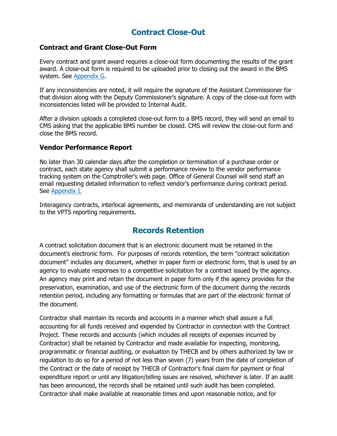# **Contract Close-Out**

## **Contract and Grant Close-Out Form**

Every contract and grant award requires a close-out form documenting the results of the grant award. A close-out form is required to be uploaded prior to closing out the award in the BMS system. See [Appendix G.](#page-56-0)

If any inconsistencies are noted, it will require the signature of the Assistant Commissioner for that division along with the Deputy Commissioner's signature. A copy of the close-out form with inconsistencies listed will be provided to Internal Audit.

After a division uploads a completed close-out form to a BMS record, they will send an email to CMS asking that the applicable BMS number be closed. CMS will review the close-out form and close the BMS record.

#### **Vendor Performance Report**

No later than 30 calendar days after the completion or termination of a purchase order or contract, each state agency shall submit a performance review to the vendor performance tracking system on the Comptroller's web page. Office of General Counsel will send staff an email requesting detailed information to reflect vendor's performance during contract period. See [Appendix I.](#page-59-0)

Interagency contracts, interlocal agreements, and memoranda of understanding are not subject to the VPTS reporting requirements.

# **Records Retention**

A contract solicitation document that is an electronic document must be retained in the document's electronic form. For purposes of records retention, the term "contract solicitation document" includes any document, whether in paper form or electronic form, that is used by an agency to evaluate responses to a competitive solicitation for a contract issued by the agency. An agency may print and retain the document in paper form only if the agency provides for the preservation, examination, and use of the electronic form of the document during the records retention period, including any formatting or formulas that are part of the electronic format of the document.

Contractor shall maintain its records and accounts in a manner which shall assure a full accounting for all funds received and expended by Contractor in connection with the Contract Project. These records and accounts (which includes all receipts of expenses incurred by Contractor) shall be retained by Contractor and made available for inspecting, monitoring, programmatic or financial auditing, or evaluation by THECB and by others authorized by law or regulation to do so for a period of not less than seven (7) years from the date of completion of the Contract or the date of receipt by THECB of Contractor's final claim for payment or final expenditure report or until any litigation/billing issues are resolved, whichever is later. If an audit has been announced, the records shall be retained until such audit has been completed. Contractor shall make available at reasonable times and upon reasonable notice, and for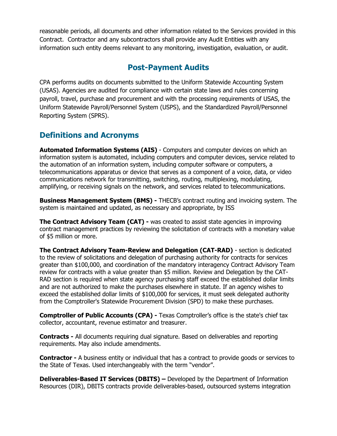reasonable periods, all documents and other information related to the Services provided in this Contract. Contractor and any subcontractors shall provide any Audit Entities with any information such entity deems relevant to any monitoring, investigation, evaluation, or audit.

# **Post-Payment Audits**

CPA performs audits on documents submitted to the Uniform Statewide Accounting System (USAS). Agencies are audited for compliance with certain state laws and rules concerning payroll, travel, purchase and procurement and with the processing requirements of USAS, the Uniform Statewide Payroll/Personnel System (USPS), and the Standardized Payroll/Personnel Reporting System (SPRS).

# **Definitions and Acronyms**

**Automated Information Systems (AIS)** - Computers and computer devices on which an information system is automated, including computers and computer devices, service related to the automation of an information system, including computer software or computers, a telecommunications apparatus or device that serves as a component of a voice, data, or video communications network for transmitting, switching, routing, multiplexing, modulating, amplifying, or receiving signals on the network, and services related to telecommunications.

**Business Management System (BMS) -** THECB's contract routing and invoicing system. The system is maintained and updated, as necessary and appropriate, by ISS

**The Contract Advisory Team (CAT) -** was created to assist state agencies in improving contract management practices by reviewing the solicitation of contracts with a monetary value of \$5 million or more.

**The Contract Advisory Team-Review and Delegation (CAT-RAD)** - section is dedicated to the review of solicitations and delegation of purchasing authority for contracts for services greater than \$100,000, and coordination of the mandatory interagency Contract Advisory Team review for contracts with a value greater than \$5 million. Review and Delegation by the CAT-RAD section is required when state agency purchasing staff exceed the established dollar limits and are not authorized to make the purchases elsewhere in statute. If an agency wishes to exceed the established dollar limits of \$100,000 for services, it must seek delegated authority from the Comptroller's Statewide Procurement Division (SPD) to make these purchases.

**Comptroller of Public Accounts (CPA) -** Texas Comptroller's office is the state's chief tax collector, accountant, revenue estimator and treasurer.

**Contracts -** All documents requiring dual signature. Based on deliverables and reporting requirements. May also include amendments.

**Contractor -** A business entity or individual that has a contract to provide goods or services to the State of Texas. Used interchangeably with the term "vendor".

**Deliverables-Based IT Services (DBITS) –** Developed by the Department of Information Resources (DIR), DBITS contracts provide deliverables-based, outsourced systems integration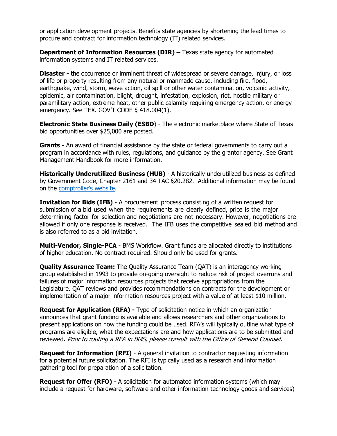or application development projects. Benefits state agencies by shortening the lead times to procure and contract for information technology (IT) related services.

**Department of Information Resources (DIR) –** Texas state agency for automated information systems and IT related services.

**Disaster -** the occurrence or imminent threat of widespread or severe damage, injury, or loss of life or property resulting from any natural or manmade cause, including fire, flood, earthquake, wind, storm, wave action, oil spill or other water contamination, volcanic activity, epidemic, air contamination, blight, drought, infestation, explosion, riot, hostile military or paramilitary action, extreme heat, other public calamity requiring emergency action, or energy emergency. See TEX. GOV'T CODE § 418.004(1).

**Electronic State Business Daily (ESBD**) - The electronic marketplace where State of Texas bid opportunities over \$25,000 are posted.

**Grants -** An award of financial assistance by the state or federal governments to carry out a program in accordance with rules, regulations, and guidance by the grantor agency. See Grant Management Handbook for more information.

**Historically Underutilized Business (HUB)** - A historically underutilized business as defined by Government Code, Chapter 2161 and 34 TAC §20.282. Additional information may be found on the [comptroller's website.](https://comptroller.texas.gov/purchasing/vendor/hub/)

**Invitation for Bids (IFB)** - A procurement process consisting of a written request for submission of a bid used when the requirements are clearly defined, price is the major determining factor for selection and negotiations are not necessary. However, negotiations are allowed if only one response is received. The IFB uses the competitive sealed bid method and is also referred to as a bid invitation.

**Multi-Vendor, Single-PCA** - BMS Workflow. Grant funds are allocated directly to institutions of higher education. No contract required. Should only be used for grants.

**Quality Assurance Team:** The Quality Assurance Team (QAT) is an interagency working group established in 1993 to provide on-going oversight to reduce risk of project overruns and failures of major information resources projects that receive appropriations from the Legislature. QAT reviews and provides recommendations on contracts for the development or implementation of a major information resources project with a value of at least \$10 million.

**Request for Application (RFA) -** Type of solicitation notice in which an organization announces that grant funding is available and allows researchers and other organizations to present applications on how the funding could be used. RFA's will typically outline what type of programs are eligible, what the expectations are and how applications are to be submitted and reviewed. Prior to routing a RFA in BMS, please consult with the Office of General Counsel.

**Request for Information (RFI)** - A general invitation to contractor requesting information for a potential future solicitation. The RFI is typically used as a research and information gathering tool for preparation of a solicitation.

**Request for Offer (RFO)** - A solicitation for automated information systems (which may include a request for hardware, software and other information technology goods and services)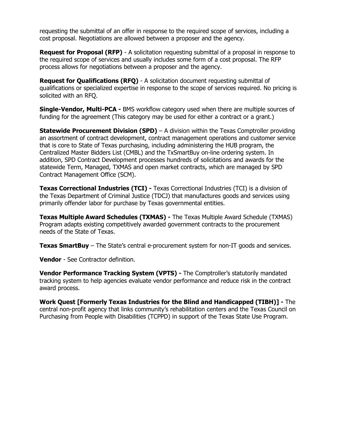requesting the submittal of an offer in response to the required scope of services, including a cost proposal. Negotiations are allowed between a proposer and the agency.

**Request for Proposal (RFP)** - A solicitation requesting submittal of a proposal in response to the required scope of services and usually includes some form of a cost proposal. The RFP process allows for negotiations between a proposer and the agency.

**Request for Qualifications (RFQ)** - A solicitation document requesting submittal of qualifications or specialized expertise in response to the scope of services required. No pricing is solicited with an RFQ.

**Single-Vendor, Multi-PCA -** BMS workflow category used when there are multiple sources of funding for the agreement (This category may be used for either a contract or a grant.)

**Statewide Procurement Division (SPD)** – A division within the Texas Comptroller providing an assortment of contract development, contract management operations and customer service that is core to State of Texas purchasing, including administering the HUB program, the Centralized Master Bidders List (CMBL) and the TxSmartBuy on-line ordering system. In addition, SPD Contract Development processes hundreds of solicitations and awards for the statewide Term, Managed, TXMAS and open market contracts, which are managed by SPD Contract Management Office (SCM).

**Texas Correctional Industries (TCI) -** Texas Correctional Industries (TCI) is a division of the Texas Department of Criminal Justice (TDCJ) that manufactures goods and services using primarily offender labor for purchase by Texas governmental entities.

**Texas Multiple Award Schedules (TXMAS) -** The Texas Multiple Award Schedule (TXMAS) Program adapts existing competitively awarded government contracts to the procurement needs of the State of Texas.

**Texas SmartBuy** – The State's central e-procurement system for non-IT goods and services.

**Vendor** - See Contractor definition.

**Vendor Performance Tracking System (VPTS) -** The Comptroller's statutorily mandated tracking system to help agencies evaluate vendor performance and reduce risk in the contract award process.

**Work Quest [Formerly Texas Industries for the Blind and Handicapped (TIBH)] -** The central non-profit agency that links community's rehabilitation centers and the Texas Council on Purchasing from People with Disabilities (TCPPD) in support of the Texas State Use Program.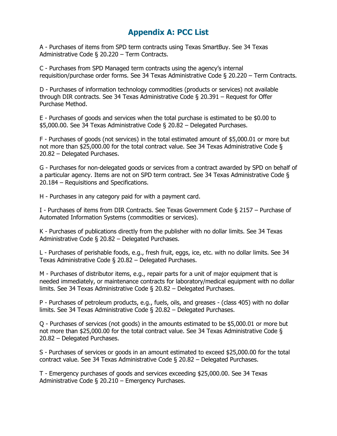# **Appendix A: PCC List**

A - Purchases of items from SPD term contracts using Texas SmartBuy. See 34 Texas Administrative Code § 20.220 – Term Contracts.

C - Purchases from SPD Managed term contracts using the agency's internal requisition/purchase order forms. See 34 Texas Administrative Code § 20.220 – Term Contracts.

D - Purchases of information technology commodities (products or services) not available through DIR contracts. See 34 Texas Administrative Code § 20.391 – Request for Offer Purchase Method.

E - Purchases of goods and services when the total purchase is estimated to be \$0.00 to \$5,000.00. See 34 Texas Administrative Code § 20.82 – Delegated Purchases.

F - Purchases of goods (not services) in the total estimated amount of \$5,000.01 or more but not more than \$25,000.00 for the total contract value. See 34 Texas Administrative Code § 20.82 – Delegated Purchases.

G - Purchases for non-delegated goods or services from a contract awarded by SPD on behalf of a particular agency. Items are not on SPD term contract. See 34 Texas Administrative Code § 20.184 – Requisitions and Specifications.

H - Purchases in any category paid for with a payment card.

I - Purchases of items from DIR Contracts. See Texas Government Code § 2157 – Purchase of Automated Information Systems (commodities or services).

K - Purchases of publications directly from the publisher with no dollar limits. See 34 Texas Administrative Code § 20.82 – Delegated Purchases.

L - Purchases of perishable foods, e.g., fresh fruit, eggs, ice, etc. with no dollar limits. See 34 Texas Administrative Code § 20.82 – Delegated Purchases.

M - Purchases of distributor items, e.g., repair parts for a unit of major equipment that is needed immediately, or maintenance contracts for laboratory/medical equipment with no dollar limits. See 34 Texas Administrative Code § 20.82 – Delegated Purchases.

P - Purchases of petroleum products, e.g., fuels, oils, and greases - (class 405) with no dollar limits. See 34 Texas Administrative Code § 20.82 – Delegated Purchases.

Q - Purchases of services (not goods) in the amounts estimated to be \$5,000.01 or more but not more than \$25,000.00 for the total contract value. See 34 Texas Administrative Code § 20.82 – Delegated Purchases.

S - Purchases of services or goods in an amount estimated to exceed \$25,000.00 for the total contract value. See 34 Texas Administrative Code § 20.82 – Delegated Purchases.

T - Emergency purchases of goods and services exceeding \$25,000.00. See 34 Texas Administrative Code § 20.210 – Emergency Purchases.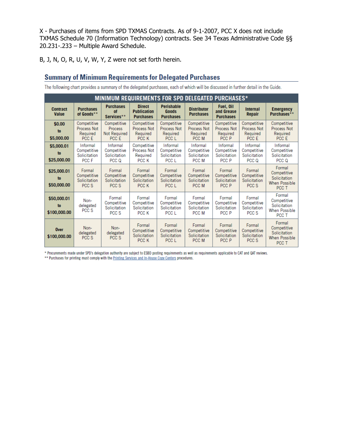X - Purchases of items from SPD TXMAS Contracts. As of 9-1-2007, PCC X does not include TXMAS Schedule 70 (Information Technology) contracts. See 34 Texas Administrative Code §§ 20.231-.233 – Multiple Award Schedule.

B, J, N, O, R, U, V, W, Y, Z were not set forth herein.

# **Summary of Minimum Requirements for Delegated Purchases**

The following chart provides a summary of the delegated purchases, each of which will be discussed in further detail in the Guide.

| <b>MINIMUM REQUIREMENTS FOR SPD DELEGATED PURCHASES*</b> |                                                  |                                                        |                                                         |                                                        |                                                  |                                                        |                                                        |                                                                        |
|----------------------------------------------------------|--------------------------------------------------|--------------------------------------------------------|---------------------------------------------------------|--------------------------------------------------------|--------------------------------------------------|--------------------------------------------------------|--------------------------------------------------------|------------------------------------------------------------------------|
| <b>Contract</b><br><b>Value</b>                          | <b>Purchases</b><br>of Goods**                   | <b>Purchases</b><br>of<br>Services**                   | <b>Direct</b><br><b>Publication</b><br><b>Purchases</b> | <b>Perishable</b><br><b>Goods</b><br><b>Purchases</b>  | <b>Distributor</b><br><b>Purchases</b>           | Fuel, Oil<br>and Grease<br><b>Purchases</b>            | Internal<br><b>Repair</b>                              | <b>Emergency</b><br>Purchases**                                        |
| \$0.00<br>to<br>\$5,000.00                               | Competitive<br>Process Not<br>Required<br>PCC E  | Competitive<br><b>Process</b><br>Not Required<br>PCC E | Competitive<br>Process Not<br>Required<br>PCC K         | Competitive<br><b>Process Not</b><br>Required<br>PCC L | Competitive<br>Process Not<br>Required<br>PCC M  | Competitive<br><b>Process Not</b><br>Required<br>PCC P | Competitive<br><b>Process Not</b><br>Required<br>PCC E | Competitive<br>Process Not<br>Required<br>PCC F                        |
| \$5,000.01<br>to<br>\$25,000.00                          | Informal<br>Competitive<br>Solicitation<br>PCC F | Informal<br>Competitive<br>Solicitation<br>PCC Q       | Competitive<br>Process Not<br>Required<br>PCC K         | Informal<br>Competitive<br>Solicitation<br>PCC L       | Informal<br>Competitive<br>Solicitation<br>PCC M | Informal<br>Competitive<br>Solicitation<br>PCC P       | Informal<br>Competitive<br>Solicitation<br>PCC Q       | Informal<br>Competitive<br>Solicitation<br>PCC Q                       |
| \$25,000.01<br>to<br>\$50,000.00                         | Formal<br>Competitive<br>Solicitation<br>PCC S   | Formal<br>Competitive<br>Solicitation<br>PCC S         | Formal<br>Competitive<br>Solicitation<br>PCC K          | Formal<br>Competitive<br>Solicitation<br>PCC L         | Formal<br>Competitive<br>Solicitation<br>PCC M   | Formal<br>Competitive<br>Solicitation<br>PCC P         | Formal<br>Competitive<br>Solicitation<br>PCC S         | Formal<br>Competitive<br>Solicitation<br><b>When Possible</b><br>PCC T |
| \$50,000.01<br>to<br>\$100,000.00                        | Non-<br>delegated<br>PCC S                       | Formal<br>Competitive<br>Solicitation<br>PCC S         | Formal<br>Competitive<br>Solicitation<br>PCC K          | Formal<br>Competitive<br>Solicitation<br>PCC L         | Formal<br>Competitive<br>Solicitation<br>PCC M   | Formal<br>Competitive<br>Solicitation<br>PCC P         | Formal<br>Competitive<br>Solicitation<br>PCC S         | Formal<br>Competitive<br>Solicitation<br><b>When Possible</b><br>PCC T |
| <b>Over</b><br>\$100,000,00                              | Non-<br>delegated<br>PCC S                       | Non-<br>delegated<br>PCC S                             | Formal<br>Competitive<br>Solicitation<br>PCC K          | Formal<br>Competitive<br>Solicitation<br>PCC L         | Formal<br>Competitive<br>Solicitation<br>PCC M   | Formal<br>Competitive<br>Solicitation<br>PCC P         | Formal<br>Competitive<br>Solicitation<br>PCC S         | Formal<br>Competitive<br>Solicitation<br>When Possible<br>PCC T        |

\* Procurements made under SPD's delegation authority are subject to ESBD posting requirements as well as requirements applicable to CAT and QAT reviews.

\*\* Purchases for printing must comply with the Printing Services and In-House Copy Centers procedures.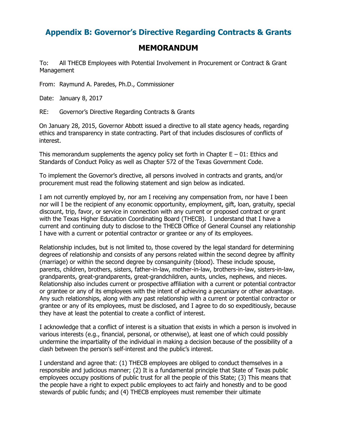# **Appendix B: Governor's Directive Regarding Contracts & Grants**

# **MEMORANDUM**

To: All THECB Employees with Potential Involvement in Procurement or Contract & Grant Management

From: Raymund A. Paredes, Ph.D., Commissioner

Date: January 8, 2017

RE: Governor's Directive Regarding Contracts & Grants

On January 28, 2015, Governor Abbott issued a directive to all state agency heads, regarding ethics and transparency in state contracting. Part of that includes disclosures of conflicts of interest.

This memorandum supplements the agency policy set forth in Chapter  $E - 01$ : Ethics and Standards of Conduct Policy as well as Chapter 572 of the Texas Government Code.

To implement the Governor's directive, all persons involved in contracts and grants, and/or procurement must read the following statement and sign below as indicated.

I am not currently employed by, nor am I receiving any compensation from, nor have I been nor will I be the recipient of any economic opportunity, employment, gift, loan, gratuity, special discount, trip, favor, or service in connection with any current or proposed contract or grant with the Texas Higher Education Coordinating Board (THECB). I understand that I have a current and continuing duty to disclose to the THECB Office of General Counsel any relationship I have with a current or potential contractor or grantee or any of its employees.

Relationship includes, but is not limited to, those covered by the legal standard for determining degrees of relationship and consists of any persons related within the second degree by affinity (marriage) or within the second degree by consanguinity (blood). These include spouse, parents, children, brothers, sisters, father-in-law, mother-in-law, brothers-in-law, sisters-in-law, grandparents, great-grandparents, great-grandchildren, aunts, uncles, nephews, and nieces. Relationship also includes current or prospective affiliation with a current or potential contractor or grantee or any of its employees with the intent of achieving a pecuniary or other advantage. Any such relationships, along with any past relationship with a current or potential contractor or grantee or any of its employees, must be disclosed, and I agree to do so expeditiously, because they have at least the potential to create a conflict of interest.

I acknowledge that a conflict of interest is a situation that exists in which a person is involved in various interests (e.g., financial, personal, or otherwise), at least one of which could possibly undermine the impartiality of the individual in making a decision because of the possibility of a clash between the [person's](http://www.businessdictionary.com/definition/person.html) [self-interest](http://www.businessdictionary.com/definition/self-interest.html) and the [public's](http://www.businessdictionary.com/definition/public-interest.html) [interest.](http://www.businessdictionary.com/definition/public-interest.html) 

I understand and agree that: (1) THECB employees are obliged to conduct themselves in a responsible and judicious manner; (2) It is a fundamental principle that State of Texas public employees occupy positions of public trust for all the people of this State; (3) This means that the people have a right to expect public employees to act fairly and honestly and to be good stewards of public funds; and (4) THECB employees must remember their ultimate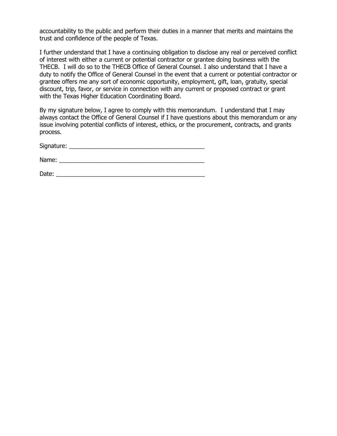accountability to the public and perform their duties in a manner that merits and maintains the trust and confidence of the people of Texas.

I further understand that I have a continuing obligation to disclose any real or perceived conflict of interest with either a current or potential contractor or grantee doing business with the THECB. I will do so to the THECB Office of General Counsel. I also understand that I have a duty to notify the Office of General Counsel in the event that a current or potential contractor or grantee offers me any sort of economic opportunity, employment, gift, loan, gratuity, special discount, trip, favor, or service in connection with any current or proposed contract or grant with the Texas Higher Education Coordinating Board.

By my signature below, I agree to comply with this memorandum. I understand that I may always contact the Office of General Counsel if I have questions about this memorandum or any issue involving potential conflicts of interest, ethics, or the procurement, contracts, and grants process.

| Signature: |  |
|------------|--|
|            |  |

Name: \_\_\_\_\_\_\_\_\_\_\_\_\_\_\_\_\_\_\_\_\_\_\_\_\_\_\_\_\_\_\_\_\_\_\_\_\_\_\_\_\_\_\_\_

Date: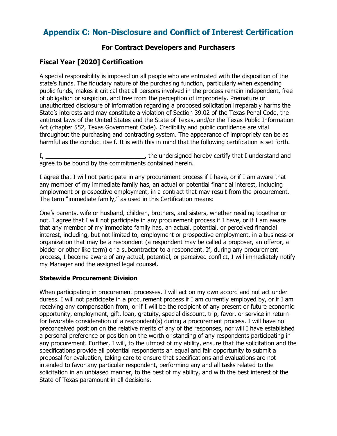# **Appendix C: Non-Disclosure and Conflict of Interest Certification**

## **For Contract Developers and Purchasers**

# **Fiscal Year [2020] Certification**

A special responsibility is imposed on all people who are entrusted with the disposition of the state's funds. The fiduciary nature of the purchasing function, particularly when expending public funds, makes it critical that all persons involved in the process remain independent, free of obligation or suspicion, and free from the perception of impropriety. Premature or unauthorized disclosure of information regarding a proposed solicitation irreparably harms the State's interests and may constitute a violation of Section 39.02 of the Texas Penal Code, the antitrust laws of the United States and the State of Texas, and/or the Texas Public Information Act (chapter 552, Texas Government Code). Credibility and public confidence are vital throughout the purchasing and contracting system. The appearance of impropriety can be as harmful as the conduct itself. It is with this in mind that the following certification is set forth.

I, \_\_\_\_\_\_\_\_\_\_\_\_\_\_\_\_\_\_\_\_\_\_\_\_\_\_\_\_\_\_, the undersigned hereby certify that I understand and agree to be bound by the commitments contained herein.

I agree that I will not participate in any procurement process if I have, or if I am aware that any member of my immediate family has, an actual or potential financial interest, including employment or prospective employment, in a contract that may result from the procurement. The term "immediate family," as used in this Certification means:

One's parents, wife or husband, children, brothers, and sisters, whether residing together or not. I agree that I will not participate in any procurement process if I have, or if I am aware that any member of my immediate family has, an actual, potential, or perceived financial interest, including, but not limited to, employment or prospective employment, in a business or organization that may be a respondent (a respondent may be called a proposer, an offeror, a bidder or other like term) or a subcontractor to a respondent. If, during any procurement process, I become aware of any actual, potential, or perceived conflict, I will immediately notify my Manager and the assigned legal counsel.

#### **Statewide Procurement Division**

When participating in procurement processes, I will act on my own accord and not act under duress. I will not participate in a procurement process if I am currently employed by, or if I am receiving any compensation from, or if I will be the recipient of any present or future economic opportunity, employment, gift, loan, gratuity, special discount, trip, favor, or service in return for favorable consideration of a respondent(s) during a procurement process. I will have no preconceived position on the relative merits of any of the responses, nor will I have established a personal preference or position on the worth or standing of any respondents participating in any procurement. Further, I will, to the utmost of my ability, ensure that the solicitation and the specifications provide all potential respondents an equal and fair opportunity to submit a proposal for evaluation, taking care to ensure that specifications and evaluations are not intended to favor any particular respondent, performing any and all tasks related to the solicitation in an unbiased manner, to the best of my ability, and with the best interest of the State of Texas paramount in all decisions.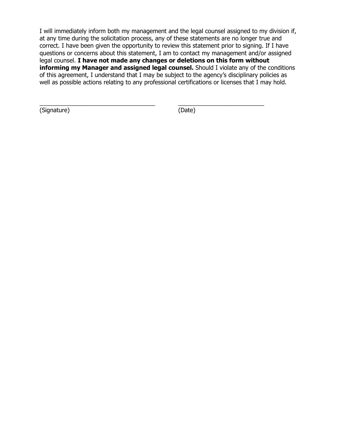I will immediately inform both my management and the legal counsel assigned to my division if, at any time during the solicitation process, any of these statements are no longer true and correct. I have been given the opportunity to review this statement prior to signing. If I have questions or concerns about this statement, I am to contact my management and/or assigned legal counsel. **I have not made any changes or deletions on this form without informing my Manager and assigned legal counsel.** Should I violate any of the conditions of this agreement, I understand that I may be subject to the agency's disciplinary policies as well as possible actions relating to any professional certifications or licenses that I may hold.

\_\_\_\_\_\_\_\_\_\_\_\_\_\_\_\_\_\_\_\_\_\_\_\_\_\_\_\_\_\_\_\_\_\_\_ \_\_\_\_\_\_\_\_\_\_\_\_\_\_\_\_\_\_\_\_\_\_\_\_\_\_ (Signature) (Date)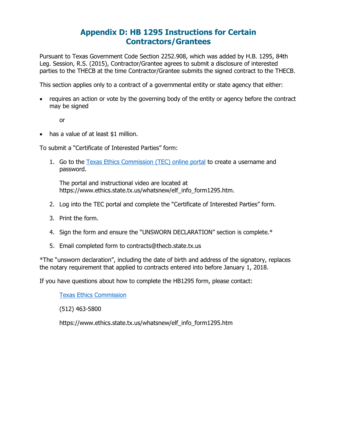# **Appendix D: HB 1295 Instructions for Certain Contractors/Grantees**

Pursuant to Texas Government Code Section 2252.908, which was added by H.B. 1295, 84th Leg. Session, R.S. (2015), Contractor/Grantee agrees to submit a disclosure of interested parties to the THECB at the time Contractor/Grantee submits the signed contract to the THECB.

This section applies only to a contract of a governmental entity or state agency that either:

• requires an action or vote by the governing body of the entity or agency before the contract may be signed

or

• has a value of at least \$1 million.

To submit a "Certificate of Interested Parties" form:

1. Go to the [Texas Ethics Commission \(TEC\) online portal](https://www.ethics.state.tx.us/whatsnew/elf_info_form1295.htm) to create a username and password.

The portal and instructional video are located at https://www.ethics.state.tx.us/whatsnew/elf\_info\_form1295.htm.

- 2. Log into the TEC portal and complete the "Certificate of Interested Parties" form.
- 3. Print the form.
- 4. Sign the form and ensure the "UNSWORN DECLARATION" section is complete.\*
- 5. Email completed form to [contracts@thecb.state.tx.us](mailto:contracts@thecb.state.tx.us)

\*The "unsworn declaration", including the date of birth and address of the signatory, replaces the notary requirement that applied to contracts entered into before January 1, 2018.

If you have questions about how to complete the HB1295 form, please contact:

[Texas Ethics Commission](https://www.ethics.state.tx.us/whatsnew/elf_info_form1295.htm)

(512) 463-5800

https://www.ethics.state.tx.us/whatsnew/elf\_info\_form1295.htm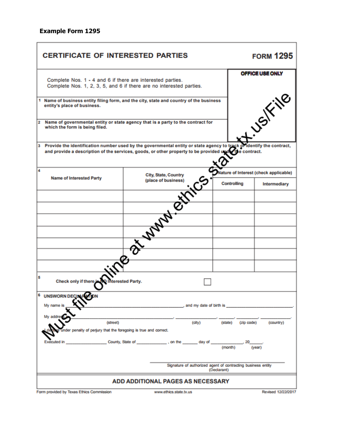# **Example Form 1295**

J.

| <b>CERTIFICATE OF INTERESTED PARTIES</b>                                                                                          |                                                                                                                                                                                                                                  | <b>FORM 1295</b> |                                     |
|-----------------------------------------------------------------------------------------------------------------------------------|----------------------------------------------------------------------------------------------------------------------------------------------------------------------------------------------------------------------------------|------------------|-------------------------------------|
| Complete Nos. 1 - 4 and 6 if there are interested parties.<br>Complete Nos. 1, 2, 3, 5, and 6 if there are no interested parties. |                                                                                                                                                                                                                                  | OFFICE USE ONLY  |                                     |
| 1 Name of business entity filing form, and the city, state and country of the business<br>entity's place of business.             |                                                                                                                                                                                                                                  | USIFING          |                                     |
| Name of governmental entity or state agency that is a party to the contract for<br>$\mathbf{2}$<br>which the form is being filed. |                                                                                                                                                                                                                                  |                  |                                     |
|                                                                                                                                   | 3 Provide the identification number used by the governmental entity or state agency to track of identify the contract,<br>and provide a description of the services, goods, or other property to be provided under the contract. |                  |                                     |
| 4<br><b>Name of Interested Party</b>                                                                                              | City, State, Country                                                                                                                                                                                                             |                  | ture of Interest (check applicable) |
|                                                                                                                                   | $\mathcal{C}^{\mathcal{S}}$<br>(place of business)<br><b>PAINTAN BY</b>                                                                                                                                                          | Controlling      | Intermediary                        |
|                                                                                                                                   |                                                                                                                                                                                                                                  |                  |                                     |
|                                                                                                                                   |                                                                                                                                                                                                                                  |                  |                                     |
|                                                                                                                                   |                                                                                                                                                                                                                                  |                  |                                     |
|                                                                                                                                   |                                                                                                                                                                                                                                  |                  |                                     |
|                                                                                                                                   |                                                                                                                                                                                                                                  |                  |                                     |
|                                                                                                                                   | d,                                                                                                                                                                                                                               |                  |                                     |
|                                                                                                                                   |                                                                                                                                                                                                                                  |                  |                                     |
| 5<br>Check only if there is NO                                                                                                    | <b>Interested Party.</b>                                                                                                                                                                                                         |                  |                                     |
| 6<br>UNSWORN DECEMPATION<br>My name is                                                                                            | and my date of birth is                                                                                                                                                                                                          |                  |                                     |
| My addre                                                                                                                          |                                                                                                                                                                                                                                  |                  |                                     |
| (street)<br>der penalty of perjury that the foregoing is true and correct.                                                        | (city)                                                                                                                                                                                                                           | (state)          | (zip code)<br>(country)             |
| Executed in                                                                                                                       | County, State of ______________, on the _______ day of                                                                                                                                                                           | (month)          | (vear)                              |
|                                                                                                                                   | Signature of authorized agent of contracting business entity                                                                                                                                                                     | (Declarant)      |                                     |
|                                                                                                                                   | <b>ADD ADDITIONAL PAGES AS NECESSARY</b>                                                                                                                                                                                         |                  |                                     |
| Form provided by Texas Ethics Commission                                                                                          | www.ethics.state.tx.us                                                                                                                                                                                                           |                  | Revised 12/22/2017                  |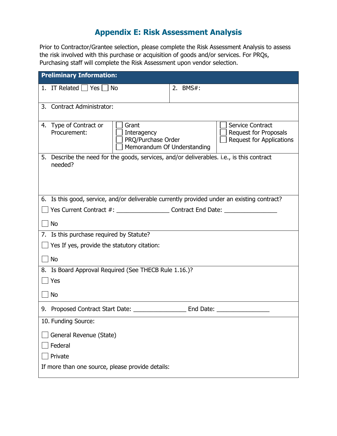# **Appendix E: Risk Assessment Analysis**

Prior to Contractor/Grantee selection, please complete the Risk Assessment Analysis to assess the risk involved with this purchase or acquisition of goods and/or services. For PRQs, Purchasing staff will complete the Risk Assessment upon vendor selection.

| <b>Preliminary Information:</b>                                                                                     |                                                                                     |  |  |  |  |  |  |
|---------------------------------------------------------------------------------------------------------------------|-------------------------------------------------------------------------------------|--|--|--|--|--|--|
| 1. IT Related $\Box$ Yes $\Box$ No                                                                                  | 2. BMS#:                                                                            |  |  |  |  |  |  |
| 3. Contract Administrator:                                                                                          |                                                                                     |  |  |  |  |  |  |
|                                                                                                                     |                                                                                     |  |  |  |  |  |  |
| Grant<br>4. Type of Contract or<br>Procurement:<br>Interagency<br>PRQ/Purchase Order<br>Memorandum Of Understanding | <b>Service Contract</b><br>Request for Proposals<br><b>Request for Applications</b> |  |  |  |  |  |  |
| Describe the need for the goods, services, and/or deliverables. i.e., is this contract<br>5.<br>needed?             |                                                                                     |  |  |  |  |  |  |
| 6. Is this good, service, and/or deliverable currently provided under an existing contract?                         |                                                                                     |  |  |  |  |  |  |
|                                                                                                                     |                                                                                     |  |  |  |  |  |  |
| <b>No</b>                                                                                                           |                                                                                     |  |  |  |  |  |  |
| 7. Is this purchase required by Statute?                                                                            |                                                                                     |  |  |  |  |  |  |
| $\Box$ Yes If yes, provide the statutory citation:                                                                  |                                                                                     |  |  |  |  |  |  |
| $\Box$ No                                                                                                           |                                                                                     |  |  |  |  |  |  |
| 8. Is Board Approval Required (See THECB Rule 1.16.)?                                                               |                                                                                     |  |  |  |  |  |  |
| Yes                                                                                                                 |                                                                                     |  |  |  |  |  |  |
| <b>No</b>                                                                                                           |                                                                                     |  |  |  |  |  |  |
|                                                                                                                     |                                                                                     |  |  |  |  |  |  |
| 10. Funding Source:                                                                                                 |                                                                                     |  |  |  |  |  |  |
| General Revenue (State)                                                                                             |                                                                                     |  |  |  |  |  |  |
| Federal                                                                                                             |                                                                                     |  |  |  |  |  |  |
| Private                                                                                                             |                                                                                     |  |  |  |  |  |  |
| If more than one source, please provide details:                                                                    |                                                                                     |  |  |  |  |  |  |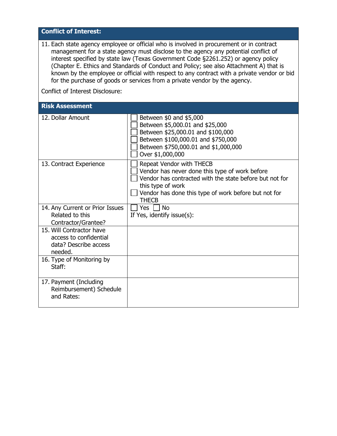# **Conflict of Interest:**

11. Each state agency employee or official who is involved in procurement or in contract management for a state agency must disclose to the agency any potential conflict of interest specified by state law (Texas Government Code §2261.252) or agency policy [\(Chapter E.](http://cbnet/EmpRef/Policy/SubChapters.cfm?Chapter_ID=5) Ethics and Standards of Conduct and Policy; see also Attachment A) that is known by the employee or official with respect to any contract with a private vendor or bid for the purchase of goods or services from a private vendor by the agency.

Conflict of Interest Disclosure:

#### **Risk Assessment**

| 12. Dollar Amount                                                                      | Between \$0 and \$5,000<br>Between \$5,000.01 and \$25,000<br>Between \$25,000.01 and \$100,000<br>Between \$100,000.01 and \$750,000<br>Between \$750,000.01 and \$1,000,000<br>Over \$1,000,000                                  |
|----------------------------------------------------------------------------------------|------------------------------------------------------------------------------------------------------------------------------------------------------------------------------------------------------------------------------------|
| 13. Contract Experience                                                                | <b>Repeat Vendor with THECB</b><br>Vendor has never done this type of work before<br>Vendor has contracted with the state before but not for<br>this type of work<br>Vendor has done this type of work before but not for<br>THECB |
| 14. Any Current or Prior Issues                                                        | <b>No</b><br>Yes                                                                                                                                                                                                                   |
| Related to this                                                                        | If Yes, identify issue(s):                                                                                                                                                                                                         |
| Contractor/Grantee?                                                                    |                                                                                                                                                                                                                                    |
| 15. Will Contractor have<br>access to confidential<br>data? Describe access<br>needed. |                                                                                                                                                                                                                                    |
| 16. Type of Monitoring by<br>Staff:                                                    |                                                                                                                                                                                                                                    |
| 17. Payment (Including<br>Reimbursement) Schedule<br>and Rates:                        |                                                                                                                                                                                                                                    |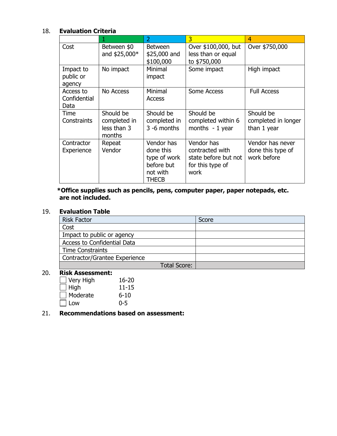# 18. **Evaluation Criteria**

|                                   |                                                    | $\overline{2}$                                                             | 3                                                                                 | 4                                                    |
|-----------------------------------|----------------------------------------------------|----------------------------------------------------------------------------|-----------------------------------------------------------------------------------|------------------------------------------------------|
| Cost                              | Between \$0<br>and $$25,000*$                      | <b>Between</b><br>\$25,000 and<br>\$100,000                                | Over \$100,000, but<br>less than or equal<br>to \$750,000                         | Over \$750,000                                       |
| Impact to<br>public or<br>agency  | No impact                                          | Minimal<br>impact                                                          | Some impact                                                                       | High impact                                          |
| Access to<br>Confidential<br>Data | No Access                                          | Minimal<br>Access                                                          | Some Access                                                                       | <b>Full Access</b>                                   |
| Time<br>Constraints               | Should be<br>completed in<br>less than 3<br>months | Should be<br>completed in<br>3 -6 months                                   | Should be<br>completed within 6<br>months $-1$ year                               | Should be<br>completed in longer<br>than 1 year      |
| Contractor<br>Experience          | Repeat<br>Vendor                                   | Vendor has<br>done this<br>type of work<br>before but<br>not with<br>THECB | Vendor has<br>contracted with<br>state before but not<br>for this type of<br>work | Vendor has never<br>done this type of<br>work before |

**\*Office supplies such as pencils, pens, computer paper, paper notepads, etc. are not included.** 

## 19. **Evaluation Table**

| <b>Risk Factor</b>            |                     | Score |
|-------------------------------|---------------------|-------|
| Cost                          |                     |       |
| Impact to public or agency    |                     |       |
| Access to Confidential Data   |                     |       |
| <b>Time Constraints</b>       |                     |       |
| Contractor/Grantee Experience |                     |       |
|                               | <b>Total Score:</b> |       |

#### 20. **Risk Assessment:**

| Very High    | $16 - 20$ |
|--------------|-----------|
| $\vert$ High | $11 - 15$ |
| Moderate     | $6 - 10$  |
| Low          | በ-5       |

#### 21. **Recommendations based on assessment:**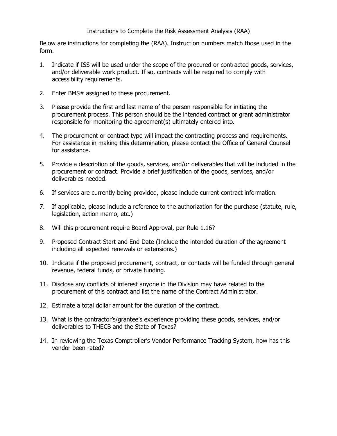#### Instructions to Complete the Risk Assessment Analysis (RAA)

Below are instructions for completing the (RAA). Instruction numbers match those used in the form.

- 1. Indicate if ISS will be used under the scope of the procured or contracted goods, services, and/or deliverable work product. If so, contracts will be required to comply with accessibility requirements.
- 2. Enter BMS# assigned to these procurement.
- 3. Please provide the first and last name of the person responsible for initiating the procurement process. This person should be the intended contract or grant administrator responsible for monitoring the agreement(s) ultimately entered into.
- 4. The procurement or contract type will impact the contracting process and requirements. For assistance in making this determination, please contact the Office of General Counsel for assistance.
- 5. Provide a description of the goods, services, and/or deliverables that will be included in the procurement or contract. Provide a brief justification of the goods, services, and/or deliverables needed.
- 6. If services are currently being provided, please include current contract information.
- 7. If applicable, please include a reference to the authorization for the purchase (statute, rule, legislation, action memo, etc.)
- 8. Will this procurement require Board Approval, per Rule 1.16?
- 9. Proposed Contract Start and End Date (Include the intended duration of the agreement including all expected renewals or extensions.)
- 10. Indicate if the proposed procurement, contract, or contacts will be funded through general revenue, federal funds, or private funding.
- 11. Disclose any conflicts of interest anyone in the Division may have related to the procurement of this contract and list the name of the Contract Administrator.
- 12. Estimate a total dollar amount for the duration of the contract.
- 13. What is the contractor's/grantee's experience providing these goods, services, and/or deliverables to THECB and the State of Texas?
- 14. In reviewing the Texas Comptroller's Vendor Performance Tracking System, how has this vendor been rated?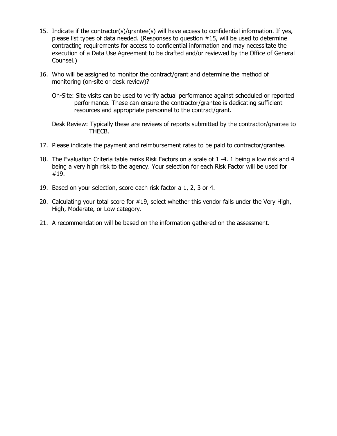- 15. Indicate if the contractor(s)/grantee(s) will have access to confidential information. If yes, please list types of data needed. (Responses to question #15, will be used to determine contracting requirements for access to confidential information and may necessitate the execution of a Data Use Agreement to be drafted and/or reviewed by the Office of General Counsel.)
- 16. Who will be assigned to monitor the contract/grant and determine the method of monitoring (on-site or desk review)?
	- On-Site: Site visits can be used to verify actual performance against scheduled or reported performance. These can ensure the contractor/grantee is dedicating sufficient resources and appropriate personnel to the contract/grant.
	- Desk Review: Typically these are reviews of reports submitted by the contractor/grantee to THECB.
- 17. Please indicate the payment and reimbursement rates to be paid to contractor/grantee.
- 18. The Evaluation Criteria table ranks Risk Factors on a scale of 1 -4. 1 being a low risk and 4 being a very high risk to the agency. Your selection for each Risk Factor will be used for #19.
- 19. Based on your selection, score each risk factor a 1, 2, 3 or 4.
- 20. Calculating your total score for #19, select whether this vendor falls under the Very High, High, Moderate, or Low category.
- 21. A recommendation will be based on the information gathered on the assessment.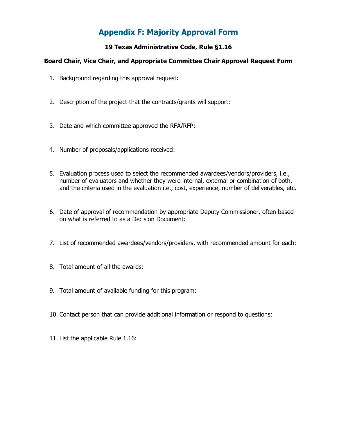# **Appendix F: Majority Approval Form**

# **19 Texas Administrative Code, Rule §1.16**

# **Board Chair, Vice Chair, and Appropriate Committee Chair Approval Request Form**

- 1. Background regarding this approval request:
- 2. Description of the project that the contracts/grants will support:
- 3. Date and which committee approved the RFA/RFP:
- 4. Number of proposals/applications received:
- 5. Evaluation process used to select the recommended awardees/vendors/providers, i.e., number of evaluators and whether they were internal, external or combination of both, and the criteria used in the evaluation i.e., cost, experience, number of deliverables, etc.
- 6. Date of approval of recommendation by appropriate Deputy Commissioner, often based on what is referred to as a Decision Document:
- 7. List of recommended awardees/vendors/providers, with recommended amount for each:
- 8. Total amount of all the awards:
- 9. Total amount of available funding for this program:
- 10. Contact person that can provide additional information or respond to questions:
- <span id="page-56-0"></span>11. List the applicable Rule 1.16: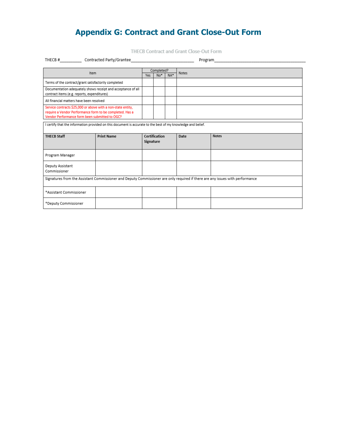# **Appendix G: Contract and Grant Close-Out Form**

THECB Contract and Grant Close-Out Form

|                                                                                                                                                                            | THECB # Contracted Party/Grantee                                                                             |            |               |                 |       | Program      |  |
|----------------------------------------------------------------------------------------------------------------------------------------------------------------------------|--------------------------------------------------------------------------------------------------------------|------------|---------------|-----------------|-------|--------------|--|
|                                                                                                                                                                            |                                                                                                              | Completed? |               |                 |       |              |  |
| Item                                                                                                                                                                       |                                                                                                              | <b>Yes</b> | $No*$         | NA <sup>+</sup> | Notes |              |  |
| Terms of the contract/grant satisfactorily completed                                                                                                                       |                                                                                                              |            |               |                 |       |              |  |
| Documentation adequately shows receipt and acceptance of all<br>contract items (e.g. reports, expenditures)                                                                |                                                                                                              |            |               |                 |       |              |  |
| All financial matters have been resolved                                                                                                                                   |                                                                                                              |            |               |                 |       |              |  |
| Service contracts \$25,000 or above with a non-state entity,<br>require a Vendor Performance form to be completed. Has a<br>Vendor Performance form been submitted to OGC? |                                                                                                              |            |               |                 |       |              |  |
|                                                                                                                                                                            | I certify that the information provided on this document is accurate to the best of my knowledge and belief. |            |               |                 |       |              |  |
| <b>THECB Staff</b>                                                                                                                                                         | <b>Print Name</b>                                                                                            | Signature  | Certification |                 | Date  | <b>Notes</b> |  |
| Program Manager                                                                                                                                                            |                                                                                                              |            |               |                 |       |              |  |
| Deputy Assistant<br>Commissioner                                                                                                                                           |                                                                                                              |            |               |                 |       |              |  |
| Signatures from the Assistant Commissioner and Deputy Commissioner are only required if there are any issues with performance                                              |                                                                                                              |            |               |                 |       |              |  |
| *Assistant Commissioner                                                                                                                                                    |                                                                                                              |            |               |                 |       |              |  |
| *Deputy Commissioner                                                                                                                                                       |                                                                                                              |            |               |                 |       |              |  |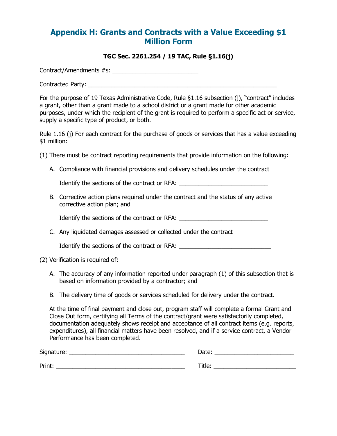# **Appendix H: Grants and Contracts with a Value Exceeding \$1 Million Form**

#### **TGC Sec. 2261.254 / 19 TAC, Rule §1.16(j)**

Contract/Amendments #s: \_\_\_\_\_\_\_\_\_\_\_\_\_\_\_\_\_\_\_\_\_\_\_\_\_\_

Contracted Party: \_\_\_\_\_\_\_\_\_\_\_\_\_\_\_\_\_\_\_\_\_\_\_\_\_\_\_\_\_\_\_\_\_\_\_\_\_\_\_\_\_\_\_\_\_\_\_\_\_\_\_\_\_\_\_\_\_

For the purpose of 19 Texas Administrative Code, Rule §1.16 subsection (j), "contract" includes a grant, other than a grant made to a school district or a grant made for other academic purposes, under which the recipient of the grant is required to perform a specific act or service, supply a specific type of product, or both.

Rule 1.16 (j) For each contract for the purchase of goods or services that has a value exceeding \$1 million:

(1) There must be contract reporting requirements that provide information on the following:

A. Compliance with financial provisions and delivery schedules under the contract

Identify the sections of the contract or RFA: \_\_\_\_\_\_\_\_\_\_\_\_\_\_\_\_\_\_\_\_\_\_\_\_\_\_\_\_\_\_\_\_\_\_

B. Corrective action plans required under the contract and the status of any active corrective action plan; and

Identify the sections of the contract or RFA: \_\_\_\_\_\_\_\_\_\_\_\_\_\_\_\_\_\_\_\_\_\_\_\_\_\_\_\_\_\_\_\_\_\_

C. Any liquidated damages assessed or collected under the contract

Identify the sections of the contract or RFA:

#### (2) Verification is required of:

- A. The accuracy of any information reported under paragraph (1) of this subsection that is based on information provided by a contractor; and
- B. The delivery time of goods or services scheduled for delivery under the contract.

At the time of final payment and close out, program staff will complete a formal Grant and Close Out form, certifying all Terms of the contract/grant were satisfactorily completed, documentation adequately shows receipt and acceptance of all contract items (e.g. reports, expenditures), all financial matters have been resolved, and if a service contract, a Vendor Performance has been completed.

| Signature: | Date:  |
|------------|--------|
| Print:     | Title: |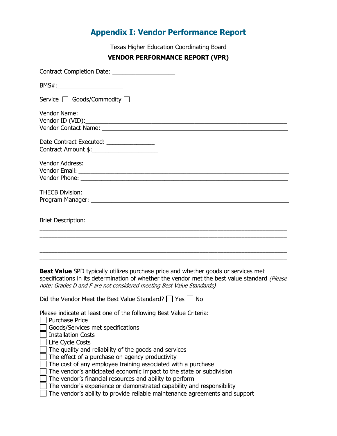# **Appendix I: Vendor Performance Report**

Texas Higher Education Coordinating Board

#### **VENDOR PERFORMANCE REPORT (VPR)**

<span id="page-59-0"></span>

| BMS#:____________________________                                                                                                                                                                                                                                   |
|---------------------------------------------------------------------------------------------------------------------------------------------------------------------------------------------------------------------------------------------------------------------|
| Service $\Box$ Goods/Commodity $\Box$                                                                                                                                                                                                                               |
|                                                                                                                                                                                                                                                                     |
| Date Contract Executed: ________________<br>Contract Amount \$:________________________                                                                                                                                                                             |
|                                                                                                                                                                                                                                                                     |
|                                                                                                                                                                                                                                                                     |
| <b>Brief Description:</b>                                                                                                                                                                                                                                           |
|                                                                                                                                                                                                                                                                     |
| <b>Best Value</b> SPD typically utilizes purchase price and whether goods or services met<br>specifications in its determination of whether the vendor met the best value standard (Please<br>note: Grades D and F are not considered meeting Best Value Standards) |

Did the Vendor Meet the Best Value Standard?  $\Box$  Yes  $\Box$  No

Please indicate at least one of the following Best Value Criteria:

- Purchase Price
- Goods/Services met specifications
- Installation Costs
- Life Cycle Costs
- The quality and reliability of the goods and services
- The effect of a purchase on agency productivity
- The cost of any employee training associated with a purchase
- $\Box$  The vendor's anticipated economic impact to the state or subdivision
- The vendor's financial resources and ability to perform
- $\Box$  The vendor's experience or demonstrated capability and responsibility
- The vendor's ability to provide reliable maintenance agreements and support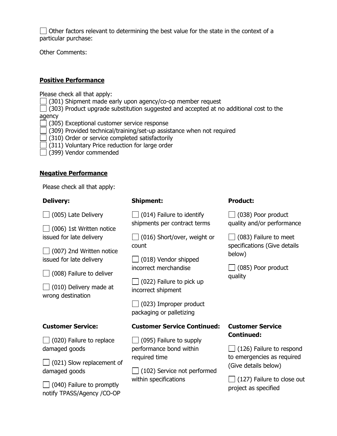$\Box$  Other factors relevant to determining the best value for the state in the context of a particular purchase:

Other Comments:

## **Positive Performance**

Please check all that apply:

(301) Shipment made early upon agency/co-op member request

 $\Box$  (303) Product upgrade substitution suggested and accepted at no additional cost to the agency

- (305) Exceptional customer service response
- (309) Provided technical/training/set-up assistance when not required
- $\Box$  (310) Order or service completed satisfactorily
- $\Box$  (311) Voluntary Price reduction for large order
- (399) Vendor commended

#### **Negative Performance**

Please check all that apply:

#### **Delivery:**

 $\Box$  (005) Late Delivery

 $\Box$  (006) 1st Written notice issued for late delivery

 $\Box$  (007) 2nd Written notice issued for late delivery

 $\Box$  (008) Failure to deliver

 $\Box$  (010) Delivery made at wrong destination

#### **Customer Service:**

| $\Box$ (020) Failure to replace |  |
|---------------------------------|--|
| damaged goods                   |  |

| $\Box$ (021) Slow replacement of |  |
|----------------------------------|--|
| damaged goods                    |  |

| $\Box$ (040) Failure to promptly |
|----------------------------------|
| notify TPASS/Agency /CO-OP       |

## **Shipment:**

 $\Box$  (014) Failure to identify shipments per contract terms

 $\Box$  (016) Short/over, weight or count

 $\Box$  (018) Vendor shipped incorrect merchandise

| $\Box$ (022) Failure to pick up |
|---------------------------------|
| incorrect shipment              |

 $\Box$  (023) Improper product packaging or palletizing

## **Customer Service Continued:**

 $\Box$  (095) Failure to supply performance bond within required time

 $\Box$  (102) Service not performed within specifications

# **Product:**

 $\Box$  (038) Poor product quality and/or performance

 $\Box$  (083) Failure to meet specifications (Give details below)

| $\Box$ (085) Poor product |  |
|---------------------------|--|
| quality                   |  |

# **Customer Service Continued:**

 $\Box$  (126) Failure to respond to emergencies as required (Give details below)

 $\Box$  (127) Failure to close out project as specified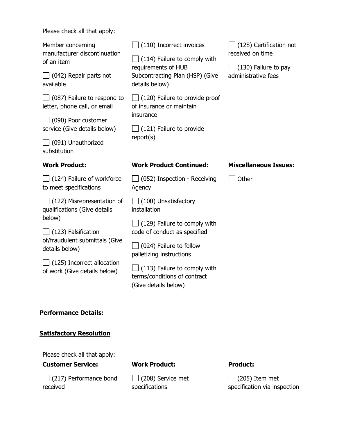Please check all that apply:

| Member concerning<br>manufacturer discontinuation<br>of an item    | $\Box$ (110) Incorrect invoices<br>$(114)$ Failure to comply with                           | $\Box$ (128) Certification not<br>received on time |
|--------------------------------------------------------------------|---------------------------------------------------------------------------------------------|----------------------------------------------------|
| $\Box$ (042) Repair parts not<br>available                         | requirements of HUB<br>Subcontracting Plan (HSP) (Give<br>details below)                    | $\Box$ (130) Failure to pay<br>administrative fees |
| $\Box$ (087) Failure to respond to<br>letter, phone call, or email | $\Box$ (120) Failure to provide proof<br>of insurance or maintain                           |                                                    |
| $\Box$ (090) Poor customer<br>service (Give details below)         | insurance<br>$\Box$ (121) Failure to provide                                                |                                                    |
| $\Box$ (091) Unauthorized<br>substitution                          | report(s)                                                                                   |                                                    |
| <b>Work Product:</b>                                               | <b>Work Product Continued:</b>                                                              | <b>Miscellaneous Issues:</b>                       |
|                                                                    |                                                                                             |                                                    |
| $\Box$ (124) Failure of workforce<br>to meet specifications        | $\Box$ (052) Inspection - Receiving<br>Agency                                               | Other                                              |
| $\Box$ (122) Misrepresentation of<br>qualifications (Give details  | $\Box$ (100) Unsatisfactory<br>installation                                                 |                                                    |
| below)<br>$\Box$ (123) Falsification                               | $\Box$ (129) Failure to comply with<br>code of conduct as specified                         |                                                    |
| of/fraudulent submittals (Give<br>details below)                   | $\Box$ (024) Failure to follow<br>palletizing instructions                                  |                                                    |
| $\Box$ (125) Incorrect allocation<br>of work (Give details below)  | $\Box$ (113) Failure to comply with<br>terms/conditions of contract<br>(Give details below) |                                                    |

# **Satisfactory Resolution**

Please check all that apply:

**Customer Service:**

| $\Box$ (217) Performance bond |  |
|-------------------------------|--|
| received                      |  |

**Work Product:**

 $\Box$  (208) Service met specifications

# **Product:**

 $\Box$  (205) Item met specification via inspection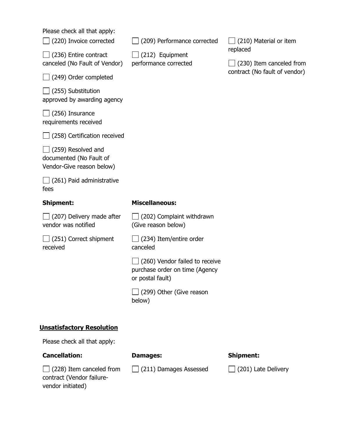Please check all that apply:

| $\Box$ (220) Invoice corrected |
|--------------------------------|
| $\Box$ (236) Entire contract   |

canceled (No Fault of Vendor)

(249) Order completed

 $\Box$  (255) Substitution approved by awarding agency

 $\Box$  (256) Insurance requirements received

(258) Certification received

 $\Box$  (259) Resolved and documented (No Fault of Vendor-Give reason below)

 $\Box$  (261) Paid administrative fees

#### **Shipment:**

#### **Miscellaneous:**

 $\Box$  (207) Delivery made after vendor was notified

 $\Box$  (251) Correct shipment received

 $\Box$  (202) Complaint withdrawn (Give reason below)

(209) Performance corrected

 $\Box$  (212) Equipment performance corrected

 $\Box$  (234) Item/entire order canceled

 $\Box$  (260) Vendor failed to receive purchase order on time (Agency or postal fault)

 $\Box$  (299) Other (Give reason below)

## **Unsatisfactory Resolution**

Please check all that apply:

 $\Box$  (228) Item canceled from contract (Vendor failure-

## **Cancellation:**

vendor initiated)

#### **Damages:**

 $\Box$  (211) Damages Assessed

#### **Shipment:**

 $\Box$  (201) Late Delivery

 $\Box$  (210) Material or item replaced

 $\Box$  (230) Item canceled from contract (No fault of vendor)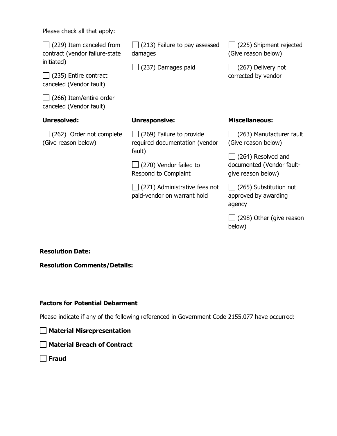Please check all that apply:

| $\Box$ (229) Item canceled from<br>contract (vendor failure-state<br>initiated)<br>$\Box$ (235) Entire contract<br>canceled (Vendor fault)<br>(266) Item/entire order<br>canceled (Vendor fault) | $\Box$ (213) Failure to pay assessed<br>damages<br>$\Box$ (237) Damages paid | $\Box$ (225) Shipment rejected<br>(Give reason below)<br>(267) Delivery not<br>corrected by vendor |
|--------------------------------------------------------------------------------------------------------------------------------------------------------------------------------------------------|------------------------------------------------------------------------------|----------------------------------------------------------------------------------------------------|
| Unresolved:                                                                                                                                                                                      | <b>Unresponsive:</b>                                                         | <b>Miscellaneous:</b>                                                                              |
| $\Box$ (262) Order not complete<br>(Give reason below)                                                                                                                                           | $\Box$ (269) Failure to provide<br>required documentation (vendor<br>fault)  | $\Box$ (263) Manufacturer fault<br>(Give reason below)<br>$\Box$ (264) Resolved and                |
|                                                                                                                                                                                                  | $\Box$ (270) Vendor failed to<br>Respond to Complaint                        | documented (Vendor fault-<br>give reason below)                                                    |
|                                                                                                                                                                                                  | $\Box$ (271) Administrative fees not<br>paid-vendor on warrant hold          | $\Box$ (265) Substitution not<br>approved by awarding<br>agency                                    |
|                                                                                                                                                                                                  |                                                                              | (298) Other (give reason                                                                           |

**Resolution Date:**

**Resolution Comments/Details:**

## **Factors for Potential Debarment**

Please indicate if any of the following referenced in Government Code 2155.077 have occurred:

**Material Misrepresentation**

**Material Breach of Contract**

**Fraud** 

below)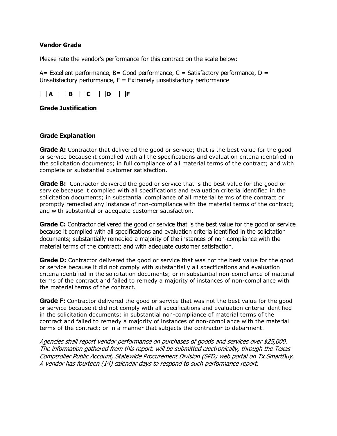#### **Vendor Grade**

Please rate the vendor's performance for this contract on the scale below:

A= Excellent performance, B= Good performance,  $C =$  Satisfactory performance, D = Unsatisfactory performance,  $F =$  Extremely unsatisfactory performance



#### **Grade Justification**

#### **Grade Explanation**

**Grade A:** Contractor that delivered the good or service; that is the best value for the good or service because it complied with all the specifications and evaluation criteria identified in the solicitation documents; in full compliance of all material terms of the contract; and with complete or substantial customer satisfaction.

**Grade B:** Contractor delivered the good or service that is the best value for the good or service because it complied with all specifications and evaluation criteria identified in the solicitation documents; in substantial compliance of all material terms of the contract or promptly remedied any instance of non-compliance with the material terms of the contract; and with substantial or adequate customer satisfaction.

**Grade C:** Contractor delivered the good or service that is the best value for the good or service because it complied with all specifications and evaluation criteria identified in the solicitation documents; substantially remedied a majority of the instances of non-compliance with the material terms of the contract; and with adequate customer satisfaction.

**Grade D:** Contractor delivered the good or service that was not the best value for the good or service because it did not comply with substantially all specifications and evaluation criteria identified in the solicitation documents; or in substantial non-compliance of material terms of the contract and failed to remedy a majority of instances of non-compliance with the material terms of the contract.

**Grade F:** Contractor delivered the good or service that was not the best value for the good or service because it did not comply with all specifications and evaluation criteria identified in the solicitation documents; in substantial non-compliance of material terms of the contract and failed to remedy a majority of instances of non-compliance with the material terms of the contract; or in a manner that subjects the contractor to debarment.

Agencies shall report vendor performance on purchases of goods and services over \$25,000. The information gathered from this report, will be submitted electronically, through the Texas Comptroller Public Account, Statewide Procurement Division (SPD) web portal on Tx SmartBuy. A vendor has fourteen (14) calendar days to respond to such performance report.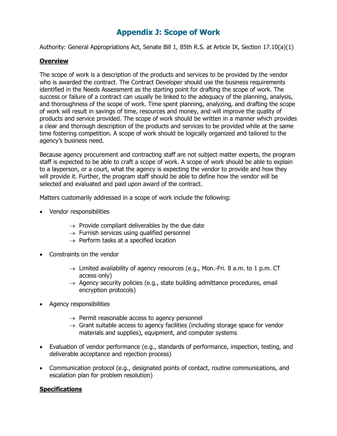# **Appendix J: Scope of Work**

Authority: General Appropriations Act, Senate Bill 1, 85th R.S. at Article IX, Section 17.10(a)(1)

#### **Overview**

The scope of work is a description of the products and services to be provided by the vendor who is awarded the contract. The Contract Developer should use the business requirements identified in the Needs Assessment as the starting point for drafting the scope of work. The success or failure of a contract can usually be linked to the adequacy of the planning, analysis, and thoroughness of the scope of work. Time spent planning, analyzing, and drafting the scope of work will result in savings of time, resources and money, and will improve the quality of products and service provided. The scope of work should be written in a manner which provides a clear and thorough description of the products and services to be provided while at the same time fostering competition. A scope of work should be logically organized and tailored to the agency's business need.

Because agency procurement and contracting staff are not subject matter experts, the program staff is expected to be able to craft a scope of work. A scope of work should be able to explain to a layperson, or a court, what the agency is expecting the vendor to provide and how they will provide it. Further, the program staff should be able to define how the vendor will be selected and evaluated and paid upon award of the contract.

Matters customarily addressed in a scope of work include the following:

- Vendor responsibilities
	- $\rightarrow$  Provide compliant deliverables by the due date
	- $\rightarrow$  Furnish services using qualified personnel
	- $\rightarrow$  Perform tasks at a specified location
- Constraints on the vendor
	- $\rightarrow$  Limited availability of agency resources (e.g., Mon.-Fri. 8 a.m. to 1 p.m. CT access only)
	- $\rightarrow$  Agency security policies (e.g., state building admittance procedures, email encryption protocols)
- Agency responsibilities
	- $\rightarrow$  Permit reasonable access to agency personnel
	- $\rightarrow$  Grant suitable access to agency facilities (including storage space for vendor materials and supplies), equipment, and computer systems
- Evaluation of vendor performance (e.g., standards of performance, inspection, testing, and deliverable acceptance and rejection process)
- Communication protocol (e.g., designated points of contact, routine communications, and escalation plan for problem resolution)

## **Specifications**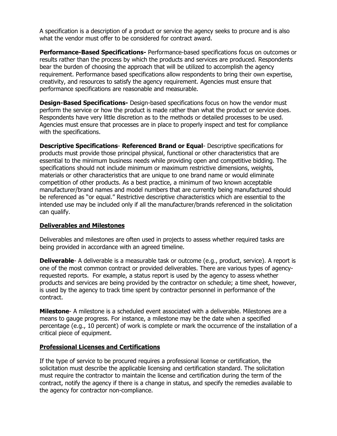A specification is a description of a product or service the agency seeks to procure and is also what the vendor must offer to be considered for contract award.

**Performance-Based Specifications-** Performance-based specifications focus on outcomes or results rather than the process by which the products and services are produced. Respondents bear the burden of choosing the approach that will be utilized to accomplish the agency requirement. Performance based specifications allow respondents to bring their own expertise, creativity, and resources to satisfy the agency requirement. Agencies must ensure that performance specifications are reasonable and measurable.

**Design-Based Specifications-** Design-based specifications focus on how the vendor must perform the service or how the product is made rather than what the product or service does. Respondents have very little discretion as to the methods or detailed processes to be used. Agencies must ensure that processes are in place to properly inspect and test for compliance with the specifications.

**Descriptive Specifications**- **Referenced Brand or Equal**- Descriptive specifications for products must provide those principal physical, functional or other characteristics that are essential to the minimum business needs while providing open and competitive bidding. The specifications should not include minimum or maximum restrictive dimensions, weights, materials or other characteristics that are unique to one brand name or would eliminate competition of other products. As a best practice, a minimum of two known acceptable manufacturer/brand names and model numbers that are currently being manufactured should be referenced as "or equal." Restrictive descriptive characteristics which are essential to the intended use may be included only if all the manufacturer/brands referenced in the solicitation can qualify.

#### **Deliverables and Milestones**

Deliverables and milestones are often used in projects to assess whether required tasks are being provided in accordance with an agreed timeline.

**Deliverable**- A deliverable is a measurable task or outcome (e.g., product, service). A report is one of the most common contract or provided deliverables. There are various types of agencyrequested reports. For example, a status report is used by the agency to assess whether products and services are being provided by the contractor on schedule; a time sheet, however, is used by the agency to track time spent by contractor personnel in performance of the contract.

**Milestone**- A milestone is a scheduled event associated with a deliverable. Milestones are a means to gauge progress. For instance, a milestone may be the date when a specified percentage (e.g., 10 percent) of work is complete or mark the occurrence of the installation of a critical piece of equipment.

#### **Professional Licenses and Certifications**

If the type of service to be procured requires a professional license or certification, the solicitation must describe the applicable licensing and certification standard. The solicitation must require the contractor to maintain the license and certification during the term of the contract, notify the agency if there is a change in status, and specify the remedies available to the agency for contractor non-compliance.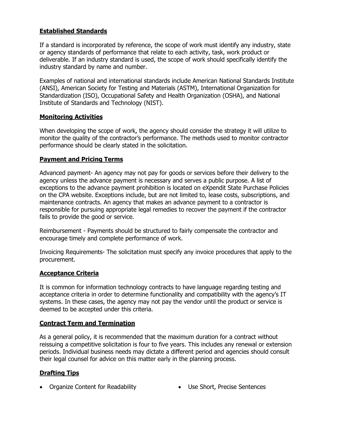## **Established Standards**

If a standard is incorporated by reference, the scope of work must identify any industry, state or agency standards of performance that relate to each activity, task, work product or deliverable. If an industry standard is used, the scope of work should specifically identify the industry standard by name and number.

Examples of national and international standards include American National Standards Institute (ANSI), American Society for Testing and Materials (ASTM), International Organization for Standardization (ISO), Occupational Safety and Health Organization (OSHA), and National Institute of Standards and Technology (NIST).

#### **Monitoring Activities**

When developing the scope of work, the agency should consider the strategy it will utilize to monitor the quality of the contractor's performance. The methods used to monitor contractor performance should be clearly stated in the solicitation.

## **Payment and Pricing Terms**

Advanced payment- An agency may not pay for goods or services before their delivery to the agency unless the advance payment is necessary and serves a public purpose. A list of exceptions to the advance payment prohibition is located on eXpendit State Purchase Policies on the CPA website. Exceptions include, but are not limited to, lease costs, subscriptions, and maintenance contracts. An agency that makes an advance payment to a contractor is responsible for pursuing appropriate legal remedies to recover the payment if the contractor fails to provide the good or service.

Reimbursement - Payments should be structured to fairly compensate the contractor and encourage timely and complete performance of work.

Invoicing Requirements- The solicitation must specify any invoice procedures that apply to the procurement.

#### **Acceptance Criteria**

It is common for information technology contracts to have language regarding testing and acceptance criteria in order to determine functionality and compatibility with the agency's IT systems. In these cases, the agency may not pay the vendor until the product or service is deemed to be accepted under this criteria.

#### **Contract Term and Termination**

As a general policy, it is recommended that the maximum duration for a contract without reissuing a competitive solicitation is four to five years. This includes any renewal or extension periods. Individual business needs may dictate a different period and agencies should consult their legal counsel for advice on this matter early in the planning process.

#### **Drafting Tips**

- Organize Content for Readability Use Short, Precise Sentences
-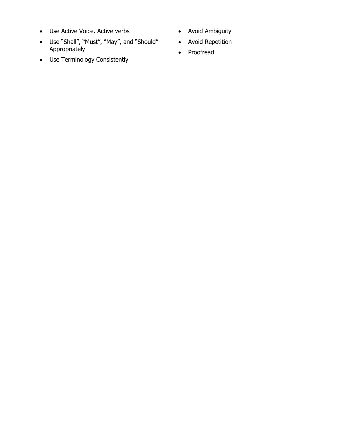- Use Active Voice. Active verbs
- Use "Shall", "Must", "May", and "Should" Appropriately
- Use Terminology Consistently
- Avoid Ambiguity
- Avoid Repetition
- Proofread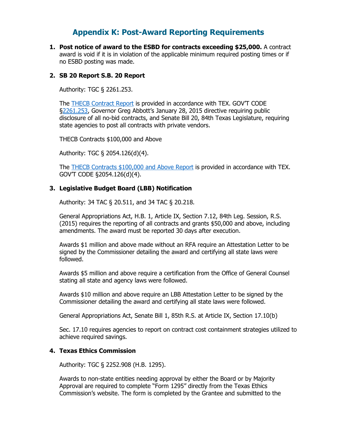# **Appendix K: Post-Award Reporting Requirements**

**1. Post notice of award to the ESBD for contracts exceeding \$25,000.** A contract award is void if it is in violation of the applicable minimum required posting times or if no ESBD posting was made.

## **2. SB 20 Report S.B. 20 Report**

Authority: TGC § 2261.253.

The THECB [Contract Report](http://www.thecb.state.tx.us/apps/stategrants/nobidcontracts.cfm) is provided in accordance with TEX. GOV'T CODE [§2261.253,](http://www.statutes.legis.state.tx.us/Docs/GV/htm/GV.2261.htm#2261.253) Governor Greg Abbott's January 28, 2015 directive requiring public disclosure of all no-bid contracts, and Senate Bill 20, 84th Texas Legislature, requiring state agencies to post all contracts with private vendors.

THECB Contracts \$100,000 and Above

Authority: TGC [§ 2054.126\(d\)\(4\).](http://www.statutes.legis.state.tx.us/SOTWDocs/GV/htm/GV.2054.htm#2054.126)

The [THECB Contracts \\$100,000 and Above Report](http://reports.thecb.state.tx.us/ibi_apps/WFServlet?IBIF_ex=service_contracts&IBIAPP_app=bms) is provided in accordance with TEX. GOV'T CODE §2054.126(d)(4).

#### **3. Legislative Budget Board (LBB) Notification**

Authority: 34 TAC § 20.511, and 34 TAC § 20.218.

General Appropriations Act, H.B. 1, Article IX, Section 7.12, 84th Leg. Session, R.S. (2015) requires the reporting of all contracts and grants \$50,000 and above, including amendments. The award must be reported 30 days after execution.

Awards \$1 million and above made without an RFA require an Attestation Letter to be signed by the Commissioner detailing the award and certifying all state laws were followed.

Awards \$5 million and above require a certification from the Office of General Counsel stating all state and agency laws were followed.

Awards \$10 million and above require an LBB Attestation Letter to be signed by the Commissioner detailing the award and certifying all state laws were followed.

General Appropriations Act, Senate Bill 1, 85th R.S. at Article IX, Section 17.10(b)

Sec. 17.10 requires agencies to report on contract cost containment strategies utilized to achieve required savings.

#### **4. Texas Ethics Commission**

Authority: TGC § 2252.908 (H.B. 1295).

Awards to non-state entities needing approval by either the Board or by Majority Approval are required to complete "Form 1295" directly from the Texas Ethics Commission's website. The form is completed by the Grantee and submitted to the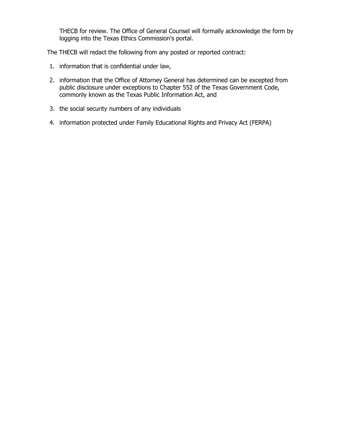THECB for review. The Office of General Counsel will formally acknowledge the form by logging into the Texas Ethics Commission's portal.

The THECB will redact the following from any posted or reported contract:

- 1. information that is confidential under law,
- 2. information that the Office of Attorney General has determined can be excepted from public disclosure under exceptions to Chapter 552 of the Texas Government Code, commonly known as the Texas Public Information Act, and
- 3. the social security numbers of any individuals
- 4. information protected under Family Educational Rights and Privacy Act (FERPA)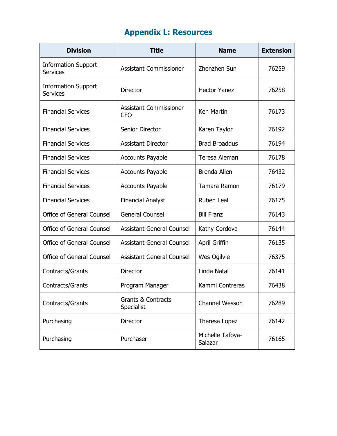## **Appendix L: Resources**

| <b>Division</b>                               | <b>Title</b>                                | <b>Name</b>                 | <b>Extension</b> |
|-----------------------------------------------|---------------------------------------------|-----------------------------|------------------|
| <b>Information Support</b><br><b>Services</b> | <b>Assistant Commissioner</b>               | Zhenzhen Sun                | 76259            |
| <b>Information Support</b><br><b>Services</b> | <b>Director</b>                             | <b>Hector Yanez</b>         | 76258            |
| <b>Financial Services</b>                     | <b>Assistant Commissioner</b><br><b>CFO</b> | Ken Martin                  | 76173            |
| <b>Financial Services</b>                     | <b>Senior Director</b>                      | Karen Taylor                | 76192            |
| <b>Financial Services</b>                     | <b>Assistant Director</b>                   | <b>Brad Broaddus</b>        | 76194            |
| <b>Financial Services</b>                     | <b>Accounts Payable</b>                     | Teresa Aleman               | 76178            |
| <b>Financial Services</b>                     | <b>Accounts Payable</b>                     | <b>Brenda Allen</b>         | 76432            |
| <b>Financial Services</b>                     | <b>Accounts Payable</b>                     | Tamara Ramon                | 76179            |
| <b>Financial Services</b>                     | <b>Financial Analyst</b>                    | Ruben Leal                  | 76175            |
| <b>Office of General Counsel</b>              | <b>General Counsel</b>                      | <b>Bill Franz</b>           | 76143            |
| <b>Office of General Counsel</b>              | <b>Assistant General Counsel</b>            | Kathy Cordova               | 76144            |
| Office of General Counsel                     | <b>Assistant General Counsel</b>            | April Griffin               | 76135            |
| Office of General Counsel                     | <b>Assistant General Counsel</b>            | Wes Ogilvie                 | 76375            |
| Contracts/Grants                              | <b>Director</b>                             | Linda Natal                 | 76141            |
| Contracts/Grants                              | Program Manager                             | Kammi Contreras             | 76438            |
| Contracts/Grants                              | <b>Grants &amp; Contracts</b><br>Specialist | Channel Wesson              | 76289            |
| Purchasing                                    | <b>Director</b>                             | Theresa Lopez               | 76142            |
| Purchasing                                    | Purchaser                                   | Michelle Tafoya-<br>Salazar | 76165            |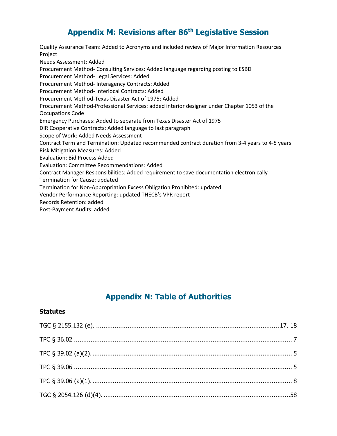## **Appendix M: Revisions after 86th Legislative Session**

Quality Assurance Team: Added to Acronyms and included review of Major Information Resources Project Needs Assessment: Added Procurement Method- Consulting Services: Added language regarding posting to ESBD Procurement Method- Legal Services: Added Procurement Method- Interagency Contracts: Added Procurement Method- Interlocal Contracts: Added Procurement Method-Texas Disaster Act of 1975: Added Procurement Method-Professional Services: added interior designer under Chapter 1053 of the Occupations Code Emergency Purchases: Added to separate from Texas Disaster Act of 1975 DIR Cooperative Contracts: Added language to last paragraph Scope of Work: Added Needs Assessment Contract Term and Termination: Updated recommended contract duration from 3-4 years to 4-5 years Risk Mitigation Measures: Added Evaluation: Bid Process Added Evaluation: Committee Recommendations: Added Contract Manager Responsibilities: Added requirement to save documentation electronically Termination for Cause: updated Termination for Non-Appropriation Excess Obligation Prohibited: updated Vendor Performance Reporting: updated THECB's VPR report Records Retention: added Post-Payment Audits: added

## **Appendix N: Table of Authorities**

## **Statutes**